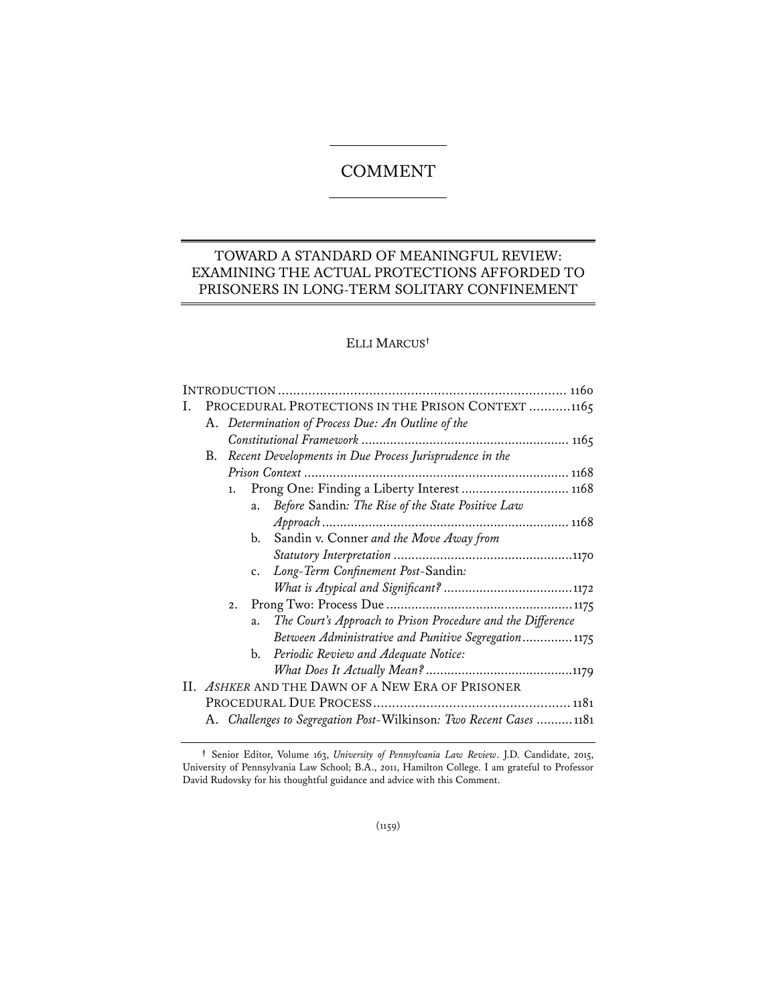# COMMENT

## TOWARD A STANDARD OF MEANINGFUL REVIEW: EXAMINING THE ACTUAL PROTECTIONS AFFORDED TO PRISONERS IN LONG-TERM SOLITARY CONFINEMENT

## ELLI MARCUS**†**

| Ι. |                                                                     | PROCEDURAL PROTECTIONS IN THE PRISON CONTEXT 1165       |    |                                                             |
|----|---------------------------------------------------------------------|---------------------------------------------------------|----|-------------------------------------------------------------|
|    |                                                                     | A. Determination of Process Due: An Outline of the      |    |                                                             |
|    |                                                                     |                                                         |    |                                                             |
|    | В.                                                                  | Recent Developments in Due Process Jurisprudence in the |    |                                                             |
|    |                                                                     |                                                         |    |                                                             |
|    |                                                                     | 1.                                                      |    | Prong One: Finding a Liberty Interest  1168                 |
|    |                                                                     |                                                         | a. | Before Sandin: The Rise of the State Positive Law           |
|    |                                                                     |                                                         |    |                                                             |
|    |                                                                     |                                                         | b. | Sandin v. Conner and the Move Away from                     |
|    |                                                                     |                                                         |    |                                                             |
|    |                                                                     |                                                         | c. | Long-Term Confinement Post-Sandin:                          |
|    |                                                                     |                                                         |    |                                                             |
|    |                                                                     | 2.                                                      |    |                                                             |
|    |                                                                     |                                                         | a. | The Court's Approach to Prison Procedure and the Difference |
|    |                                                                     |                                                         |    | Between Administrative and Punitive Segregation 1175        |
|    |                                                                     |                                                         | b. | Periodic Review and Adequate Notice:                        |
|    |                                                                     |                                                         |    |                                                             |
|    | II. ASHKER AND THE DAWN OF A NEW ERA OF PRISONER                    |                                                         |    |                                                             |
|    |                                                                     |                                                         |    |                                                             |
|    | A. Challenges to Segregation Post-Wilkinson: Two Recent Cases  1181 |                                                         |    |                                                             |

**<sup>†</sup>** Senior Editor, Volume 163, *University of Pennsylvania Law Review*. J.D. Candidate, 2015, University of Pennsylvania Law School; B.A., 2011, Hamilton College. I am grateful to Professor David Rudovsky for his thoughtful guidance and advice with this Comment.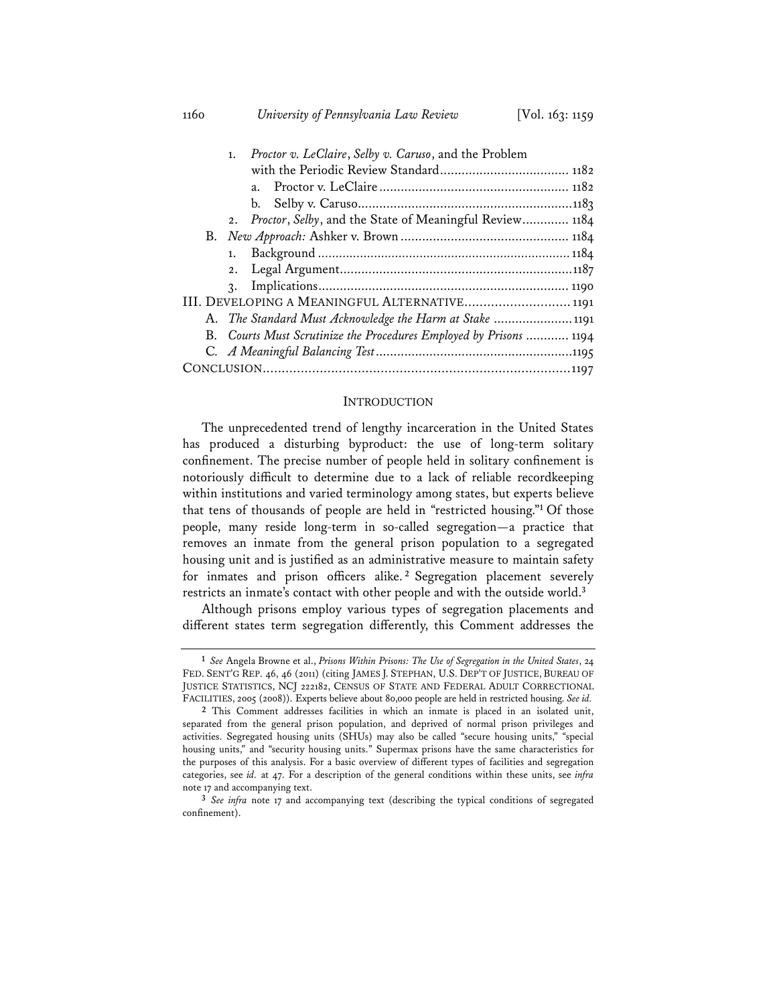1. *Proctor v. LeClaire*, *Selby v. Caruso*, and the Problem with the Periodic Review Standard .................................... 1182 a. Proctor v. LeClaire ..................................................... 1182 b. Selby v. Caruso............................................................ 1183 2. *Proctor*, *Selby*, and the State of Meaningful Review ............. 1184 B. *New Approach:* Ashker v. Brown ............................................... 1184 1. Background *........................................................................* 1184 2. Legal Argument................................................................. 1187

3. Implications ...................................................................... 1190 III. DEVELOPING A MEANINGFUL ALTERNATIVE............................ 1191 A. *The Standard Must Acknowledge the Harm at Stake* ...................... 1191 B. *Courts Must Scrutinize the Procedures Employed by Prisons* ............ 1194 C*. A Meaningful Balancing Test* ....................................................... 1195 CONCLUSION ................................................................................. 1197

#### **INTRODUCTION**

The unprecedented trend of lengthy incarceration in the United States has produced a disturbing byproduct: the use of long-term solitary confinement. The precise number of people held in solitary confinement is notoriously difficult to determine due to a lack of reliable recordkeeping within institutions and varied terminology among states, but experts believe that tens of thousands of people are held in "restricted housing."**<sup>1</sup>** Of those people, many reside long-term in so-called segregation—a practice that removes an inmate from the general prison population to a segregated housing unit and is justified as an administrative measure to maintain safety for inmates and prison officers alike. **<sup>2</sup>** Segregation placement severely restricts an inmate's contact with other people and with the outside world.**<sup>3</sup>**

Although prisons employ various types of segregation placements and different states term segregation differently, this Comment addresses the

**<sup>1</sup>** *See* Angela Browne et al., *Prisons Within Prisons: The Use of Segregation in the United States*, 24 FED. SENT'G REP. 46, 46 (2011) (citing JAMES J. STEPHAN, U.S. DEP'T OF JUSTICE, BUREAU OF JUSTICE STATISTICS, NCJ 222182, CENSUS OF STATE AND FEDERAL ADULT CORRECTIONAL FACILITIES, 2005 (2008)). Experts believe about 80,000 people are held in restricted housing. *See id.* 

**<sup>2</sup>** This Comment addresses facilities in which an inmate is placed in an isolated unit, separated from the general prison population, and deprived of normal prison privileges and activities. Segregated housing units (SHUs) may also be called "secure housing units," "special housing units," and "security housing units." Supermax prisons have the same characteristics for the purposes of this analysis. For a basic overview of different types of facilities and segregation categories, see *id.* at 47. For a description of the general conditions within these units, see *infra* note 17 and accompanying text.

**<sup>3</sup>** *See infra* note 17 and accompanying text (describing the typical conditions of segregated confinement).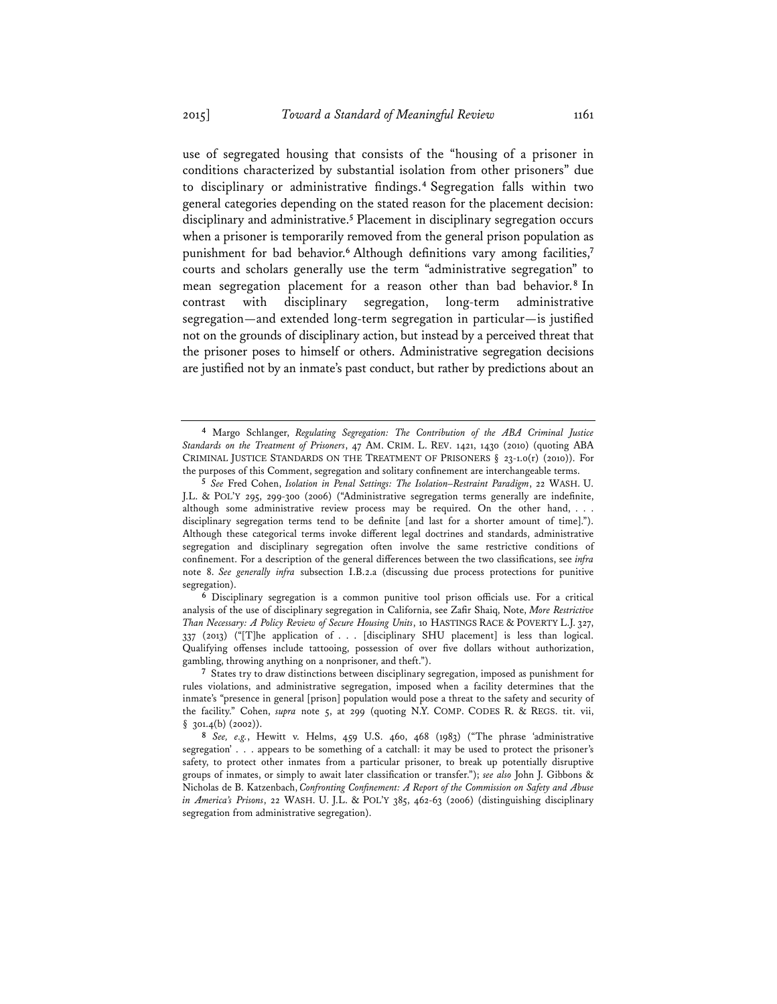use of segregated housing that consists of the "housing of a prisoner in conditions characterized by substantial isolation from other prisoners" due to disciplinary or administrative findings.**<sup>4</sup>** Segregation falls within two general categories depending on the stated reason for the placement decision: disciplinary and administrative.**<sup>5</sup>** Placement in disciplinary segregation occurs when a prisoner is temporarily removed from the general prison population as punishment for bad behavior.**<sup>6</sup>** Although definitions vary among facilities,**<sup>7</sup>** courts and scholars generally use the term "administrative segregation" to mean segregation placement for a reason other than bad behavior.**<sup>8</sup>** In contrast with disciplinary segregation, long-term administrative segregation—and extended long-term segregation in particular—is justified not on the grounds of disciplinary action, but instead by a perceived threat that the prisoner poses to himself or others. Administrative segregation decisions are justified not by an inmate's past conduct, but rather by predictions about an

**<sup>4</sup>** Margo Schlanger, *Regulating Segregation: The Contribution of the ABA Criminal Justice Standards on the Treatment of Prisoners*, 47 AM. CRIM. L. REV. 1421, 1430 (2010) (quoting ABA CRIMINAL JUSTICE STANDARDS ON THE TREATMENT OF PRISONERS  $\S$  23-1.0(r) (2010)). For the purposes of this Comment, segregation and solitary confinement are interchangeable terms.

**<sup>5</sup>** *See* Fred Cohen, *Isolation in Penal Settings: The Isolation–Restraint Paradigm*, 22 WASH. U. J.L. & POL'Y 295, 299-300 (2006) ("Administrative segregation terms generally are indefinite, although some administrative review process may be required. On the other hand, . . . disciplinary segregation terms tend to be definite [and last for a shorter amount of time]."). Although these categorical terms invoke different legal doctrines and standards, administrative segregation and disciplinary segregation often involve the same restrictive conditions of confinement. For a description of the general differences between the two classifications, see *infra* note 8. *See generally infra* subsection I.B.2.a (discussing due process protections for punitive segregation).

**<sup>6</sup>** Disciplinary segregation is a common punitive tool prison officials use. For a critical analysis of the use of disciplinary segregation in California, see Zafir Shaiq, Note, *More Restrictive Than Necessary: A Policy Review of Secure Housing Units*, 10 HASTINGS RACE & POVERTY L.J. 327, 337 (2013) ("[T]he application of . . . [disciplinary SHU placement] is less than logical. Qualifying offenses include tattooing, possession of over five dollars without authorization, gambling, throwing anything on a nonprisoner, and theft.").

**<sup>7</sup>** States try to draw distinctions between disciplinary segregation, imposed as punishment for rules violations, and administrative segregation, imposed when a facility determines that the inmate's "presence in general [prison] population would pose a threat to the safety and security of the facility." Cohen, *supra* note 5, at 299 (quoting N.Y. COMP. CODES R. & REGS. tit. vii,  $§$  301.4(b) (2002)).

**<sup>8</sup>** *See, e.g.*, Hewitt v. Helms, 459 U.S. 460, 468 (1983) ("The phrase 'administrative segregation' . . . appears to be something of a catchall: it may be used to protect the prisoner's safety, to protect other inmates from a particular prisoner, to break up potentially disruptive groups of inmates, or simply to await later classification or transfer."); *see also* John J. Gibbons & Nicholas de B. Katzenbach, *Confronting Confinement: A Report of the Commission on Safety and Abuse in America's Prisons*, 22 WASH. U. J.L. & POL'Y 385, 462-63 (2006) (distinguishing disciplinary segregation from administrative segregation).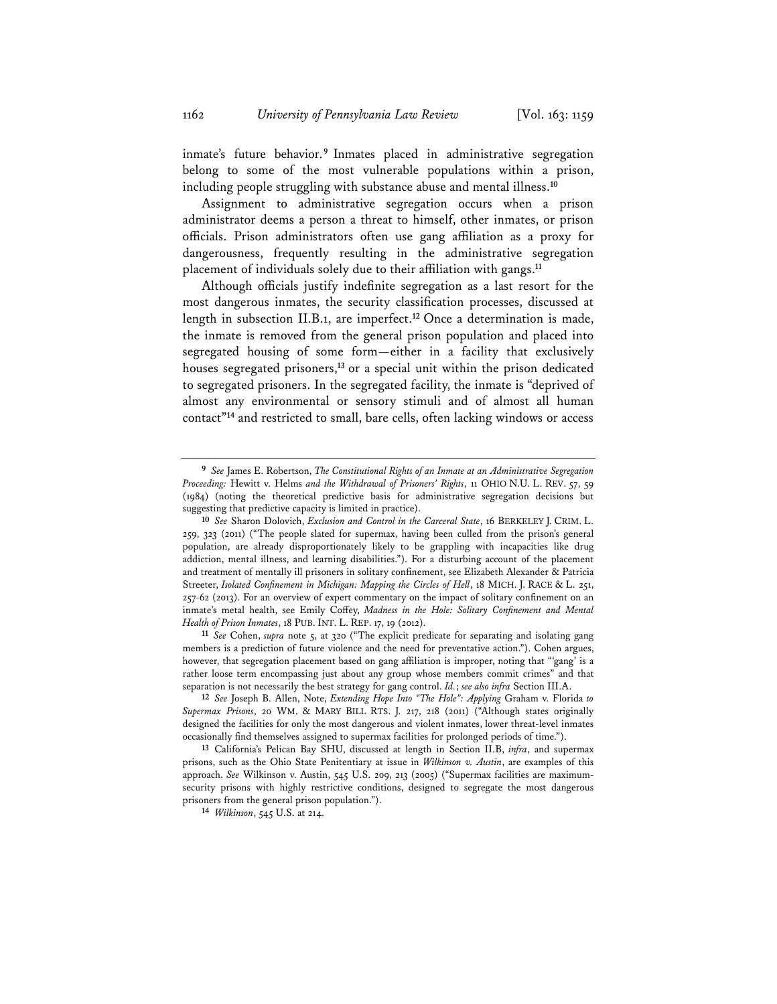inmate's future behavior.**<sup>9</sup>** Inmates placed in administrative segregation belong to some of the most vulnerable populations within a prison, including people struggling with substance abuse and mental illness.**<sup>10</sup>**

Assignment to administrative segregation occurs when a prison administrator deems a person a threat to himself, other inmates, or prison officials. Prison administrators often use gang affiliation as a proxy for dangerousness, frequently resulting in the administrative segregation placement of individuals solely due to their affiliation with gangs.**<sup>11</sup>**

Although officials justify indefinite segregation as a last resort for the most dangerous inmates, the security classification processes, discussed at length in subsection II.B.1, are imperfect.**<sup>12</sup>** Once a determination is made, the inmate is removed from the general prison population and placed into segregated housing of some form—either in a facility that exclusively houses segregated prisoners,**<sup>13</sup>** or a special unit within the prison dedicated to segregated prisoners. In the segregated facility, the inmate is "deprived of almost any environmental or sensory stimuli and of almost all human contact"**<sup>14</sup>** and restricted to small, bare cells, often lacking windows or access

*Health of Prison Inmates*, 18 PUB. INT. L. REP. 17, 19 (2012). **<sup>11</sup>** *See* Cohen, *supra* note 5, at 320 ("The explicit predicate for separating and isolating gang members is a prediction of future violence and the need for preventative action."). Cohen argues, however, that segregation placement based on gang affiliation is improper, noting that "'gang' is a rather loose term encompassing just about any group whose members commit crimes" and that separation is not necessarily the best strategy for gang control. *Id.*; *see also infra* Section III.A.

**<sup>12</sup>** *See* Joseph B. Allen, Note, *Extending Hope Into "The Hole": Applying* Graham v. Florida *to Supermax Prisons*, 20 WM. & MARY BILL RTS. J. 217, 218 (2011) ("Although states originally designed the facilities for only the most dangerous and violent inmates, lower threat-level inmates occasionally find themselves assigned to supermax facilities for prolonged periods of time.").

**<sup>13</sup>** California's Pelican Bay SHU, discussed at length in Section II.B, *infra*, and supermax prisons, such as the Ohio State Penitentiary at issue in *Wilkinson v. Austin*, are examples of this approach. *See* Wilkinson v. Austin, 545 U.S. 209, 213 (2005) ("Supermax facilities are maximumsecurity prisons with highly restrictive conditions, designed to segregate the most dangerous prisoners from the general prison population."). **<sup>14</sup>** *Wilkinson*, 545 U.S. at 214.

**<sup>9</sup>** *See* James E. Robertson, *The Constitutional Rights of an Inmate at an Administrative Segregation Proceeding:* Hewitt v. Helms *and the Withdrawal of Prisoners' Rights*, 11 OHIO N.U. L. REV. 57, 59 (1984) (noting the theoretical predictive basis for administrative segregation decisions but suggesting that predictive capacity is limited in practice).

**<sup>10</sup>** *See* Sharon Dolovich, *Exclusion and Control in the Carceral State*, 16 BERKELEY J. CRIM. L. 259, 323 (2011) ("The people slated for supermax, having been culled from the prison's general population, are already disproportionately likely to be grappling with incapacities like drug addiction, mental illness, and learning disabilities."). For a disturbing account of the placement and treatment of mentally ill prisoners in solitary confinement, see Elizabeth Alexander & Patricia Streeter, *Isolated Confinement in Michigan: Mapping the Circles of Hell*, 18 MICH. J. RACE & L. 251, 257-62 (2013). For an overview of expert commentary on the impact of solitary confinement on an inmate's metal health, see Emily Coffey, *Madness in the Hole: Solitary Confinement and Mental*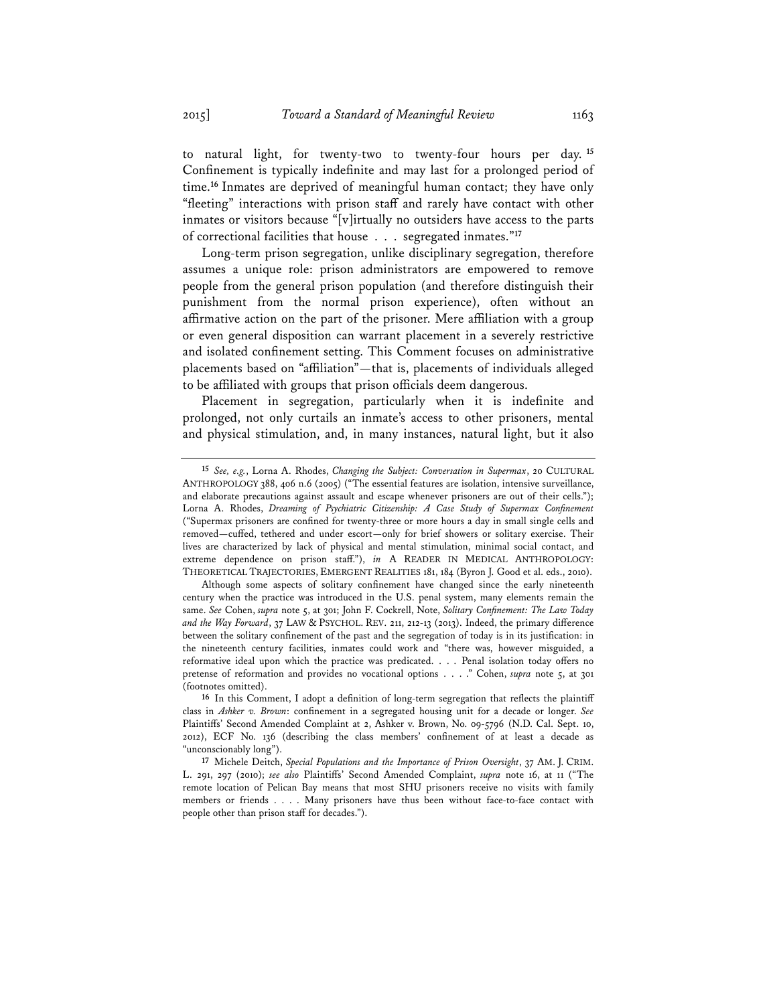to natural light, for twenty-two to twenty-four hours per day. **<sup>15</sup>** Confinement is typically indefinite and may last for a prolonged period of time.**<sup>16</sup>** Inmates are deprived of meaningful human contact; they have only "fleeting" interactions with prison staff and rarely have contact with other inmates or visitors because "[v]irtually no outsiders have access to the parts of correctional facilities that house . . . segregated inmates."**<sup>17</sup>**

Long-term prison segregation, unlike disciplinary segregation, therefore assumes a unique role: prison administrators are empowered to remove people from the general prison population (and therefore distinguish their punishment from the normal prison experience), often without an affirmative action on the part of the prisoner. Mere affiliation with a group or even general disposition can warrant placement in a severely restrictive and isolated confinement setting. This Comment focuses on administrative placements based on "affiliation"—that is, placements of individuals alleged to be affiliated with groups that prison officials deem dangerous.

Placement in segregation, particularly when it is indefinite and prolonged, not only curtails an inmate's access to other prisoners, mental and physical stimulation, and, in many instances, natural light, but it also

**<sup>15</sup>** *See, e.g.*, Lorna A. Rhodes, *Changing the Subject: Conversation in Supermax*, 20 CULTURAL ANTHROPOLOGY 388, 406 n.6 (2005) ("The essential features are isolation, intensive surveillance, and elaborate precautions against assault and escape whenever prisoners are out of their cells."); Lorna A. Rhodes, *Dreaming of Psychiatric Citizenship: A Case Study of Supermax Confinement*  ("Supermax prisoners are confined for twenty-three or more hours a day in small single cells and removed—cuffed, tethered and under escort—only for brief showers or solitary exercise. Their lives are characterized by lack of physical and mental stimulation, minimal social contact, and extreme dependence on prison staff."), *in* A READER IN MEDICAL ANTHROPOLOGY: THEORETICAL TRAJECTORIES, EMERGENT REALITIES 181, 184 (Byron J. Good et al. eds., 2010).

Although some aspects of solitary confinement have changed since the early nineteenth century when the practice was introduced in the U.S. penal system, many elements remain the same. *See* Cohen, *supra* note 5, at 301; John F. Cockrell, Note, *Solitary Confinement: The Law Today and the Way Forward*, 37 LAW & PSYCHOL. REV. 211, 212-13 (2013). Indeed, the primary difference between the solitary confinement of the past and the segregation of today is in its justification: in the nineteenth century facilities, inmates could work and "there was, however misguided, a reformative ideal upon which the practice was predicated. . . . Penal isolation today offers no pretense of reformation and provides no vocational options . . . ." Cohen, *supra* note 5, at 301 (footnotes omitted).

**<sup>16</sup>** In this Comment, I adopt a definition of long-term segregation that reflects the plaintiff class in *Ashker v. Brown*: confinement in a segregated housing unit for a decade or longer. *See* Plaintiffs' Second Amended Complaint at 2, Ashker v. Brown, No. 09-5796 (N.D. Cal. Sept. 10, 2012), ECF No. 136 (describing the class members' confinement of at least a decade as "unconscionably long").

**<sup>17</sup>** Michele Deitch, *Special Populations and the Importance of Prison Oversight*, 37 AM. J. CRIM. L. 291, 297 (2010); *see also* Plaintiffs' Second Amended Complaint, *supra* note 16, at 11 ("The remote location of Pelican Bay means that most SHU prisoners receive no visits with family members or friends . . . . Many prisoners have thus been without face-to-face contact with people other than prison staff for decades.").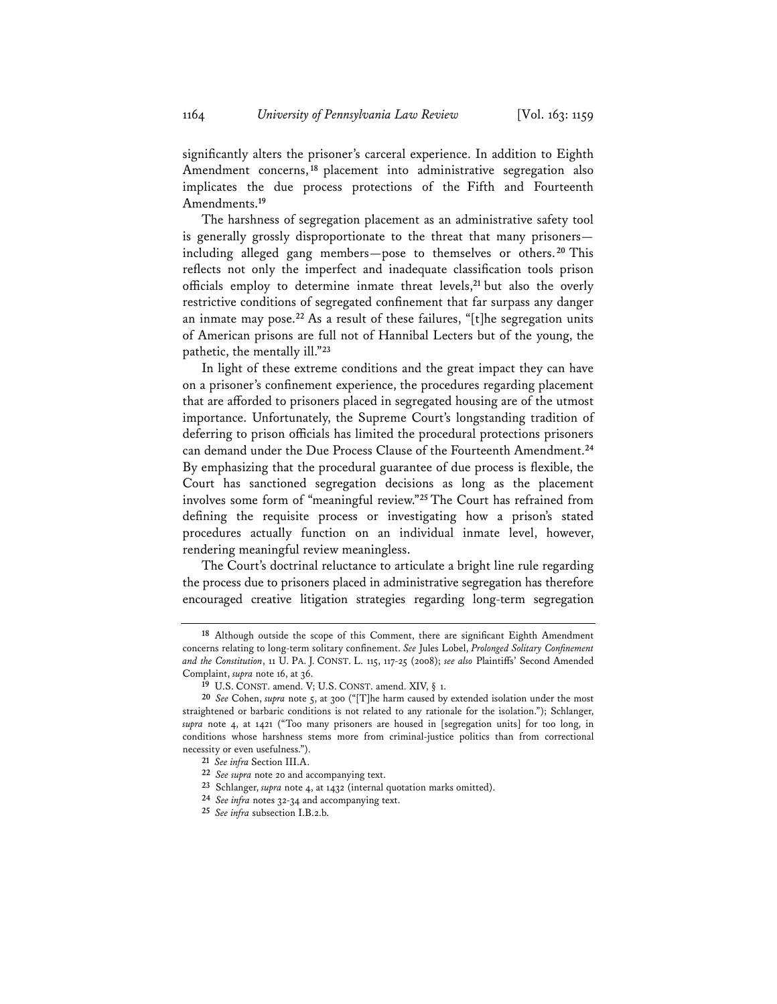significantly alters the prisoner's carceral experience. In addition to Eighth Amendment concerns, **<sup>18</sup>** placement into administrative segregation also implicates the due process protections of the Fifth and Fourteenth Amendments.**<sup>19</sup>**

The harshness of segregation placement as an administrative safety tool is generally grossly disproportionate to the threat that many prisoners including alleged gang members—pose to themselves or others. **<sup>20</sup>** This reflects not only the imperfect and inadequate classification tools prison officials employ to determine inmate threat levels,**<sup>21</sup>** but also the overly restrictive conditions of segregated confinement that far surpass any danger an inmate may pose.**<sup>22</sup>** As a result of these failures, "[t]he segregation units of American prisons are full not of Hannibal Lecters but of the young, the pathetic, the mentally ill."**<sup>23</sup>**

In light of these extreme conditions and the great impact they can have on a prisoner's confinement experience, the procedures regarding placement that are afforded to prisoners placed in segregated housing are of the utmost importance. Unfortunately, the Supreme Court's longstanding tradition of deferring to prison officials has limited the procedural protections prisoners can demand under the Due Process Clause of the Fourteenth Amendment.**<sup>24</sup>** By emphasizing that the procedural guarantee of due process is flexible, the Court has sanctioned segregation decisions as long as the placement involves some form of "meaningful review."**<sup>25</sup>** The Court has refrained from defining the requisite process or investigating how a prison's stated procedures actually function on an individual inmate level, however, rendering meaningful review meaningless.

The Court's doctrinal reluctance to articulate a bright line rule regarding the process due to prisoners placed in administrative segregation has therefore encouraged creative litigation strategies regarding long-term segregation

**<sup>18</sup>** Although outside the scope of this Comment, there are significant Eighth Amendment concerns relating to long-term solitary confinement. *See* Jules Lobel, *Prolonged Solitary Confinement and the Constitution*, 11 U. PA. J. CONST. L. 115, 117-25 (2008); *see also* Plaintiffs' Second Amended Complaint, *supra* note 16, at 36.<br><sup>19</sup> U.S. CONST. amend. V; U.S. CONST. amend. XIV, § 1.

<sup>20</sup> See Cohen, *supra* note 5, at 300 ("[T]he harm caused by extended isolation under the most straightened or barbaric conditions is not related to any rationale for the isolation."); Schlanger, *supra* note 4, at 1421 ("Too many prisoners are housed in [segregation units] for too long, in conditions whose harshness stems more from criminal-justice politics than from correctional necessity or even usefulness.").

**<sup>21</sup>** *See infra* Section III.A.

**<sup>22</sup>** *See supra* note 20 and accompanying text.

**<sup>23</sup>** Schlanger, *supra* note 4, at 1432 (internal quotation marks omitted).

**<sup>24</sup>** *See infra* notes 32-34 and accompanying text.

**<sup>25</sup>** *See infra* subsection I.B.2.b.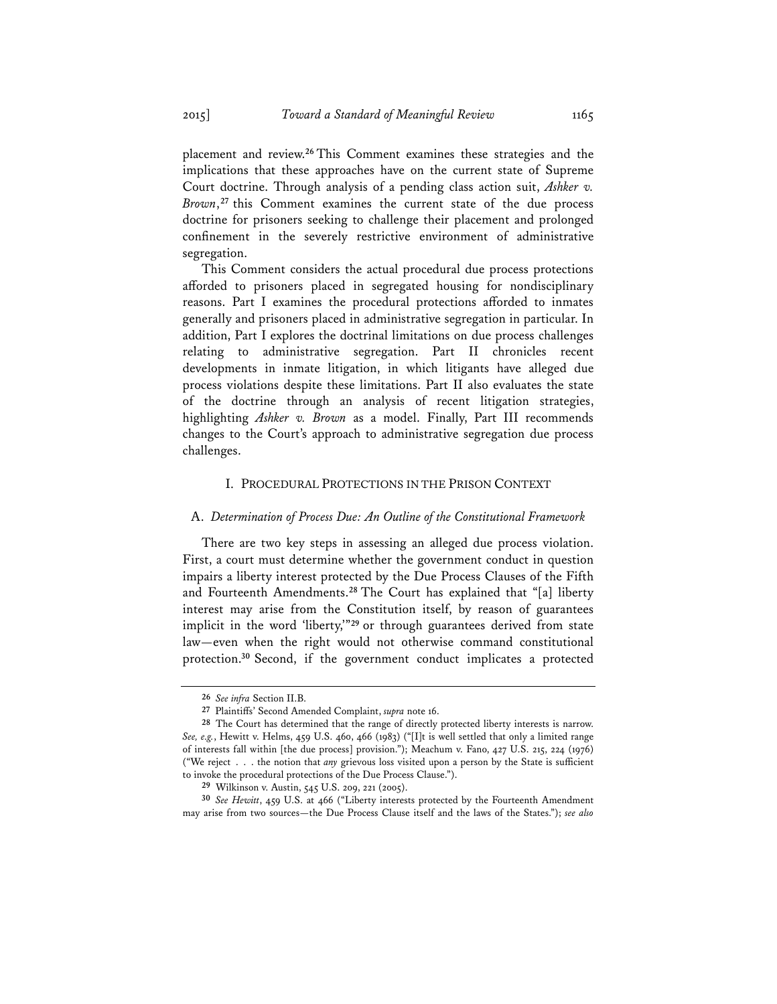placement and review.**<sup>26</sup>** This Comment examines these strategies and the implications that these approaches have on the current state of Supreme Court doctrine. Through analysis of a pending class action suit, *Ashker v. Brown*,**<sup>27</sup>** this Comment examines the current state of the due process doctrine for prisoners seeking to challenge their placement and prolonged confinement in the severely restrictive environment of administrative segregation.

This Comment considers the actual procedural due process protections afforded to prisoners placed in segregated housing for nondisciplinary reasons. Part I examines the procedural protections afforded to inmates generally and prisoners placed in administrative segregation in particular. In addition, Part I explores the doctrinal limitations on due process challenges relating to administrative segregation. Part II chronicles recent developments in inmate litigation, in which litigants have alleged due process violations despite these limitations. Part II also evaluates the state of the doctrine through an analysis of recent litigation strategies, highlighting *Ashker v. Brown* as a model. Finally, Part III recommends changes to the Court's approach to administrative segregation due process challenges.

#### I. PROCEDURAL PROTECTIONS IN THE PRISON CONTEXT

#### A. *Determination of Process Due: An Outline of the Constitutional Framework*

There are two key steps in assessing an alleged due process violation. First, a court must determine whether the government conduct in question impairs a liberty interest protected by the Due Process Clauses of the Fifth and Fourteenth Amendments.**<sup>28</sup>** The Court has explained that "[a] liberty interest may arise from the Constitution itself, by reason of guarantees implicit in the word 'liberty,'"**<sup>29</sup>** or through guarantees derived from state law—even when the right would not otherwise command constitutional protection.**<sup>30</sup>** Second, if the government conduct implicates a protected

**<sup>26</sup>** *See infra* Section II.B.

**<sup>27</sup>** Plaintiffs' Second Amended Complaint, *supra* note 16.

**<sup>28</sup>** The Court has determined that the range of directly protected liberty interests is narrow. *See, e.g.*, Hewitt v. Helms, 459 U.S. 460, 466 (1983) ("[I]t is well settled that only a limited range of interests fall within [the due process] provision."); Meachum v. Fano, 427 U.S. 215, 224 (1976) ("We reject . . . the notion that *any* grievous loss visited upon a person by the State is sufficient to invoke the procedural protections of the Due Process Clause.").

**<sup>29</sup>** Wilkinson v. Austin, 545 U.S. 209, 221 (2005).

**<sup>30</sup>** *See Hewitt*, 459 U.S. at 466 ("Liberty interests protected by the Fourteenth Amendment may arise from two sources—the Due Process Clause itself and the laws of the States."); *see also*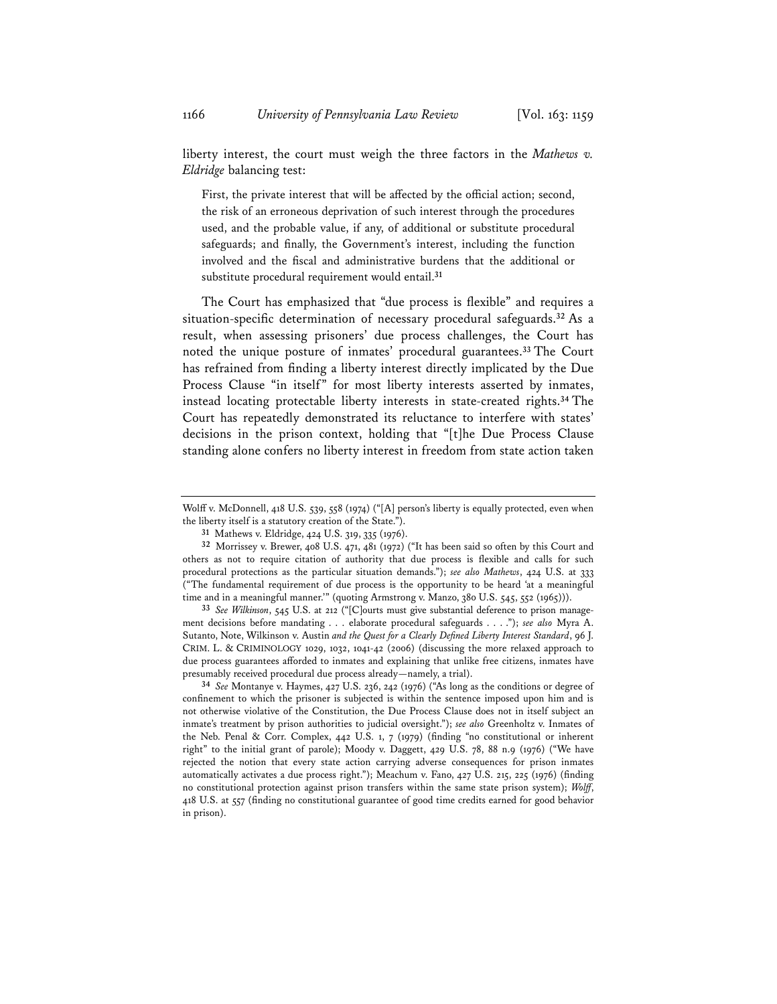liberty interest, the court must weigh the three factors in the *Mathews v. Eldridge* balancing test:

First, the private interest that will be affected by the official action; second, the risk of an erroneous deprivation of such interest through the procedures used, and the probable value, if any, of additional or substitute procedural safeguards; and finally, the Government's interest, including the function involved and the fiscal and administrative burdens that the additional or substitute procedural requirement would entail.**<sup>31</sup>**

The Court has emphasized that "due process is flexible" and requires a situation-specific determination of necessary procedural safeguards.**<sup>32</sup>** As a result, when assessing prisoners' due process challenges, the Court has noted the unique posture of inmates' procedural guarantees.**<sup>33</sup>** The Court has refrained from finding a liberty interest directly implicated by the Due Process Clause "in itself" for most liberty interests asserted by inmates, instead locating protectable liberty interests in state-created rights.**<sup>34</sup>** The Court has repeatedly demonstrated its reluctance to interfere with states' decisions in the prison context, holding that "[t]he Due Process Clause standing alone confers no liberty interest in freedom from state action taken

**<sup>33</sup>** *See Wilkinson*, 545 U.S. at 212 ("[C]ourts must give substantial deference to prison management decisions before mandating . . . elaborate procedural safeguards . . . ."); *see also* Myra A. Sutanto, Note, Wilkinson v. Austin *and the Quest for a Clearly Defined Liberty Interest Standard*, 96 J. CRIM. L. & CRIMINOLOGY 1029, 1032, 1041-42 (2006) (discussing the more relaxed approach to due process guarantees afforded to inmates and explaining that unlike free citizens, inmates have presumably received procedural due process already—namely, a trial).

**<sup>34</sup>** *See* Montanye v. Haymes, 427 U.S. 236, 242 (1976) ("As long as the conditions or degree of confinement to which the prisoner is subjected is within the sentence imposed upon him and is not otherwise violative of the Constitution, the Due Process Clause does not in itself subject an inmate's treatment by prison authorities to judicial oversight."); *see also* Greenholtz v. Inmates of the Neb. Penal & Corr. Complex, 442 U.S. 1, 7 (1979) (finding "no constitutional or inherent right" to the initial grant of parole); Moody v. Daggett, 429 U.S. 78, 88 n.9 (1976) ("We have rejected the notion that every state action carrying adverse consequences for prison inmates automatically activates a due process right."); Meachum v. Fano, 427 U.S. 215, 225 (1976) (finding no constitutional protection against prison transfers within the same state prison system); *Wolff*, 418 U.S. at 557 (finding no constitutional guarantee of good time credits earned for good behavior in prison).

Wolff v. McDonnell, 418 U.S. 539, 558 (1974) ("[A] person's liberty is equally protected, even when the liberty itself is a statutory creation of the State.").

**<sup>31</sup>** Mathews v. Eldridge, 424 U.S. 319, 335 (1976).

**<sup>32</sup>** Morrissey v. Brewer, 408 U.S. 471, 481 (1972) ("It has been said so often by this Court and others as not to require citation of authority that due process is flexible and calls for such procedural protections as the particular situation demands."); *see also Mathews*, 424 U.S. at 333 ("The fundamental requirement of due process is the opportunity to be heard 'at a meaningful time and in a meaningful manner." (quoting Armstrong v. Manzo, 380 U.S. 545, 552 (1965))).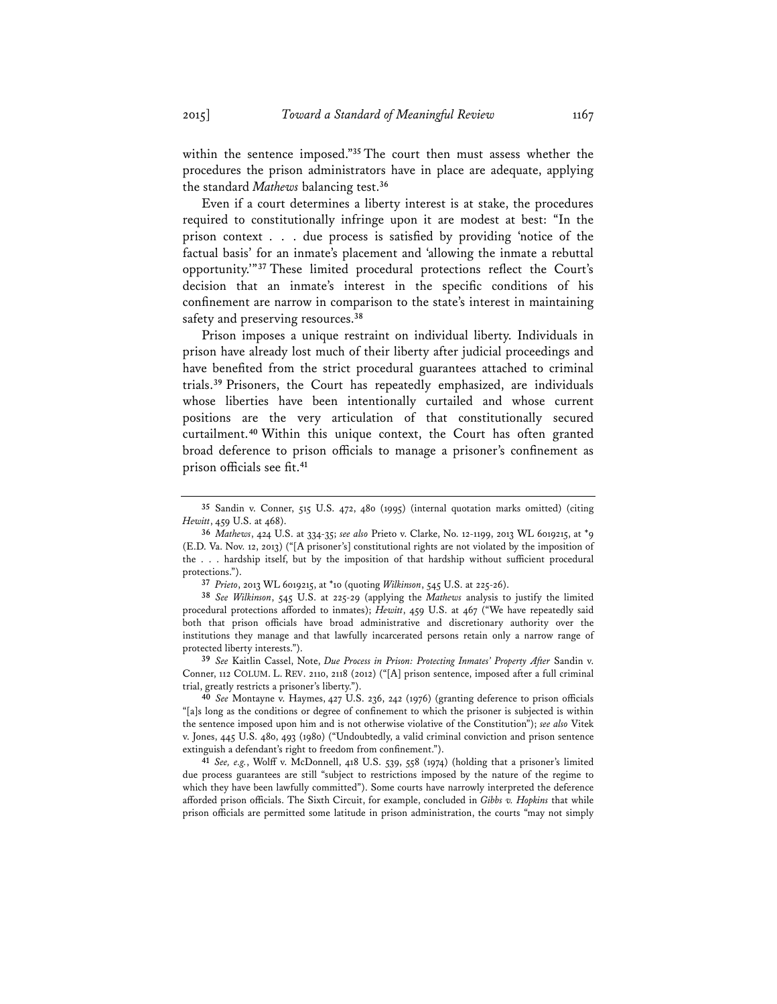within the sentence imposed."**<sup>35</sup>** The court then must assess whether the procedures the prison administrators have in place are adequate, applying the standard *Mathews* balancing test.**<sup>36</sup>**

Even if a court determines a liberty interest is at stake, the procedures required to constitutionally infringe upon it are modest at best: "In the prison context . . . due process is satisfied by providing 'notice of the factual basis' for an inmate's placement and 'allowing the inmate a rebuttal opportunity.'"**<sup>37</sup>** These limited procedural protections reflect the Court's decision that an inmate's interest in the specific conditions of his confinement are narrow in comparison to the state's interest in maintaining safety and preserving resources.**<sup>38</sup>**

Prison imposes a unique restraint on individual liberty. Individuals in prison have already lost much of their liberty after judicial proceedings and have benefited from the strict procedural guarantees attached to criminal trials.**<sup>39</sup>** Prisoners, the Court has repeatedly emphasized, are individuals whose liberties have been intentionally curtailed and whose current positions are the very articulation of that constitutionally secured curtailment.**<sup>40</sup>** Within this unique context, the Court has often granted broad deference to prison officials to manage a prisoner's confinement as prison officials see fit.**<sup>41</sup>**

**<sup>37</sup>** *Prieto*, 2013 WL 6019215, at \*10 (quoting *Wilkinson*, 545 U.S. at 225-26).

**<sup>39</sup>** *See* Kaitlin Cassel, Note, *Due Process in Prison: Protecting Inmates' Property After* Sandin v. Conner, 112 COLUM. L. REV. 2110, 2118 (2012) ("[A] prison sentence, imposed after a full criminal trial, greatly restricts a prisoner's liberty.").

**<sup>40</sup>** *See* Montayne v. Haymes, 427 U.S. 236, 242 (1976) (granting deference to prison officials "[a]s long as the conditions or degree of confinement to which the prisoner is subjected is within the sentence imposed upon him and is not otherwise violative of the Constitution"); *see also* Vitek v. Jones, 445 U.S. 480, 493 (1980) ("Undoubtedly, a valid criminal conviction and prison sentence extinguish a defendant's right to freedom from confinement."). **<sup>41</sup>** *See, e.g.*, Wolff v. McDonnell, 418 U.S. 539, 558 (1974) (holding that a prisoner's limited

due process guarantees are still "subject to restrictions imposed by the nature of the regime to which they have been lawfully committed"). Some courts have narrowly interpreted the deference afforded prison officials. The Sixth Circuit, for example, concluded in *Gibbs v. Hopkins* that while prison officials are permitted some latitude in prison administration, the courts "may not simply

**<sup>35</sup>** Sandin v. Conner, 515 U.S. 472, 480 (1995) (internal quotation marks omitted) (citing *Hewitt*, 459 U.S. at 468).

**<sup>36</sup>** *Mathews*, 424 U.S. at 334-35; *see also* Prieto v. Clarke, No. 12-1199, 2013 WL 6019215, at \*9 (E.D. Va. Nov. 12, 2013) ("[A prisoner's] constitutional rights are not violated by the imposition of the . . . hardship itself, but by the imposition of that hardship without sufficient procedural protections.").

**<sup>38</sup>** *See Wilkinson*, 545 U.S. at 225-29 (applying the *Mathews* analysis to justify the limited procedural protections afforded to inmates); *Hewitt*, 459 U.S. at 467 ("We have repeatedly said both that prison officials have broad administrative and discretionary authority over the institutions they manage and that lawfully incarcerated persons retain only a narrow range of protected liberty interests.").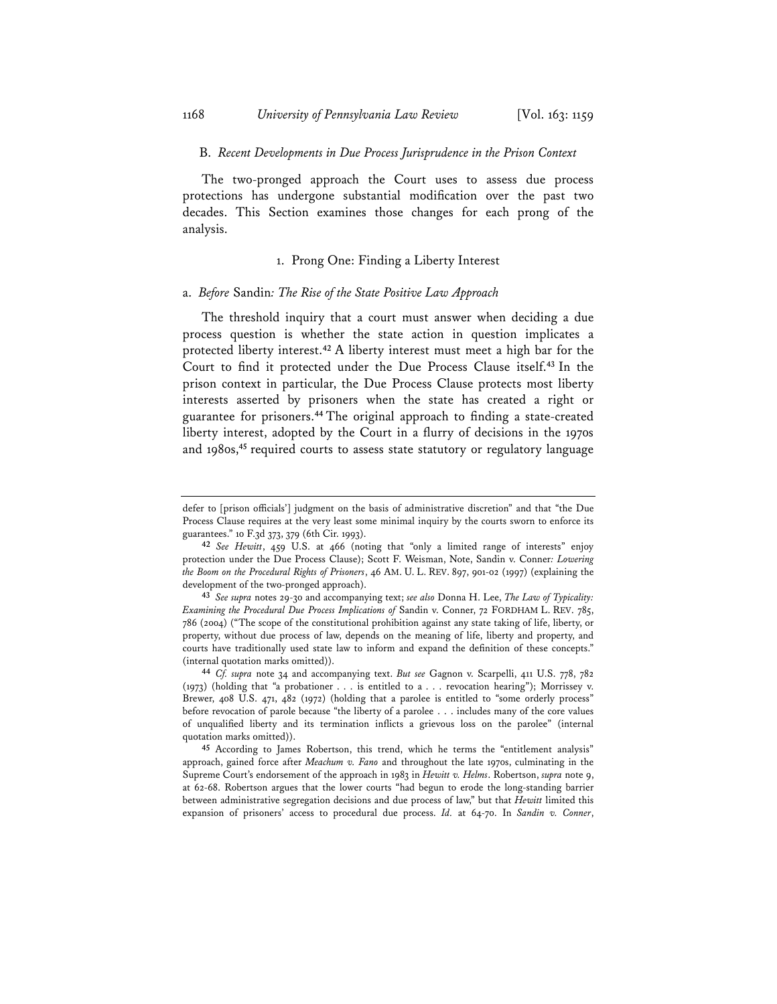#### B. *Recent Developments in Due Process Jurisprudence in the Prison Context*

The two-pronged approach the Court uses to assess due process protections has undergone substantial modification over the past two decades. This Section examines those changes for each prong of the analysis.

## 1. Prong One: Finding a Liberty Interest

## a. *Before* Sandin*: The Rise of the State Positive Law Approach*

The threshold inquiry that a court must answer when deciding a due process question is whether the state action in question implicates a protected liberty interest.**<sup>42</sup>** A liberty interest must meet a high bar for the Court to find it protected under the Due Process Clause itself.**<sup>43</sup>** In the prison context in particular, the Due Process Clause protects most liberty interests asserted by prisoners when the state has created a right or guarantee for prisoners.**<sup>44</sup>** The original approach to finding a state-created liberty interest, adopted by the Court in a flurry of decisions in the 1970s and 1980s,**<sup>45</sup>** required courts to assess state statutory or regulatory language

defer to [prison officials'] judgment on the basis of administrative discretion" and that "the Due Process Clause requires at the very least some minimal inquiry by the courts sworn to enforce its guarantees." 10 F.3d 373, 379 (6th Cir. 1993).

**<sup>42</sup>** *See Hewitt*, 459 U.S. at 466 (noting that "only a limited range of interests" enjoy protection under the Due Process Clause); Scott F. Weisman, Note, Sandin v. Conner*: Lowering the Boom on the Procedural Rights of Prisoners*, 46 AM. U. L. REV. 897, 901-02 (1997) (explaining the development of the two-pronged approach).

**<sup>43</sup>** *See supra* notes 29-30 and accompanying text; *see also* Donna H. Lee, *The Law of Typicality: Examining the Procedural Due Process Implications of* Sandin v. Conner, 72 FORDHAM L. REV. 785, 786 (2004) ("The scope of the constitutional prohibition against any state taking of life, liberty, or property, without due process of law, depends on the meaning of life, liberty and property, and courts have traditionally used state law to inform and expand the definition of these concepts."

<sup>&</sup>lt;sup>44</sup> *Cf. supra* note 34 and accompanying text. *But see* Gagnon v. Scarpelli, 411 U.S. 778, 782 (1973) (holding that "a probationer . . . is entitled to a . . . revocation hearing"); Morrissey v. Brewer, 408 U.S. 471, 482 (1972) (holding that a parolee is entitled to "some orderly process" before revocation of parole because "the liberty of a parolee . . . includes many of the core values of unqualified liberty and its termination inflicts a grievous loss on the parolee" (internal quotation marks omitted)).

**<sup>45</sup>** According to James Robertson, this trend, which he terms the "entitlement analysis" approach, gained force after *Meachum v. Fano* and throughout the late 1970s, culminating in the Supreme Court's endorsement of the approach in 1983 in *Hewitt v. Helms*. Robertson, *supra* note 9, at 62-68. Robertson argues that the lower courts "had begun to erode the long-standing barrier between administrative segregation decisions and due process of law," but that *Hewitt* limited this expansion of prisoners' access to procedural due process. *Id.* at 64-70. In *Sandin v. Conner*,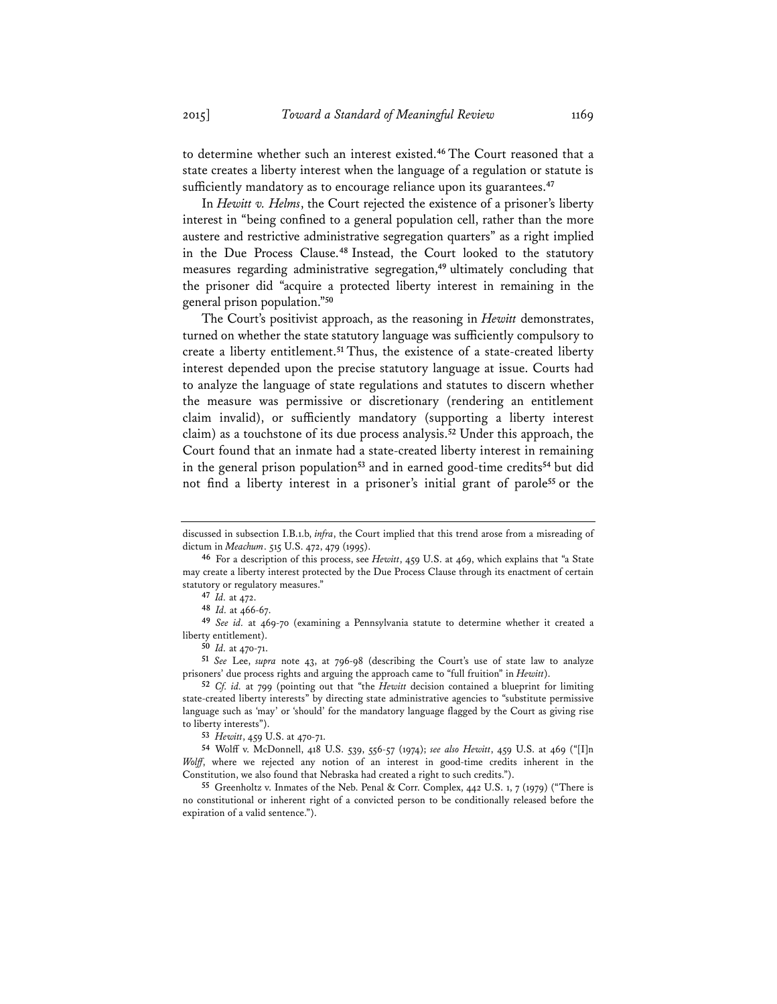to determine whether such an interest existed.**<sup>46</sup>** The Court reasoned that a state creates a liberty interest when the language of a regulation or statute is sufficiently mandatory as to encourage reliance upon its guarantees.**<sup>47</sup>**

In *Hewitt v. Helms*, the Court rejected the existence of a prisoner's liberty interest in "being confined to a general population cell, rather than the more austere and restrictive administrative segregation quarters" as a right implied in the Due Process Clause.**<sup>48</sup>** Instead, the Court looked to the statutory measures regarding administrative segregation,**<sup>49</sup>** ultimately concluding that the prisoner did "acquire a protected liberty interest in remaining in the general prison population."**<sup>50</sup>**

The Court's positivist approach, as the reasoning in *Hewitt* demonstrates, turned on whether the state statutory language was sufficiently compulsory to create a liberty entitlement.**<sup>51</sup>** Thus, the existence of a state-created liberty interest depended upon the precise statutory language at issue. Courts had to analyze the language of state regulations and statutes to discern whether the measure was permissive or discretionary (rendering an entitlement claim invalid), or sufficiently mandatory (supporting a liberty interest claim) as a touchstone of its due process analysis.**<sup>52</sup>** Under this approach, the Court found that an inmate had a state-created liberty interest in remaining in the general prison population**<sup>53</sup>** and in earned good-time credits**<sup>54</sup>** but did not find a liberty interest in a prisoner's initial grant of parole**<sup>55</sup>** or the

**<sup>51</sup>** *See* Lee, *supra* note 43, at 796-98 (describing the Court's use of state law to analyze prisoners' due process rights and arguing the approach came to "full fruition" in *Hewitt*).

**<sup>53</sup>** *Hewitt*, 459 U.S. at 470-71.

**<sup>54</sup>** Wolff v. McDonnell, 418 U.S. 539, 556-57 (1974); *see also Hewitt*, 459 U.S. at 469 ("[I]n *Wolff*, where we rejected any notion of an interest in good-time credits inherent in the Constitution, we also found that Nebraska had created a right to such credits.").

**<sup>55</sup>** Greenholtz v. Inmates of the Neb. Penal & Corr. Complex, 442 U.S. 1, 7 (1979) ("There is no constitutional or inherent right of a convicted person to be conditionally released before the expiration of a valid sentence.").

discussed in subsection I.B.1.b, *infra*, the Court implied that this trend arose from a misreading of dictum in *Meachum*. 515 U.S. 472, 479 (1995).

**<sup>46</sup>** For a description of this process, see *Hewitt*, 459 U.S. at 469, which explains that "a State may create a liberty interest protected by the Due Process Clause through its enactment of certain statutory or regulatory measures."

**<sup>47</sup>** *Id.* at 472.

**<sup>48</sup>** *Id.* at 466-67.

**<sup>49</sup>** *See id.* at 469-70 (examining a Pennsylvania statute to determine whether it created a liberty entitlement).

**<sup>50</sup>** *Id.* at 470-71.

**<sup>52</sup>** *Cf. id.* at 799 (pointing out that "the *Hewitt* decision contained a blueprint for limiting state-created liberty interests" by directing state administrative agencies to "substitute permissive language such as 'may' or 'should' for the mandatory language flagged by the Court as giving rise to liberty interests").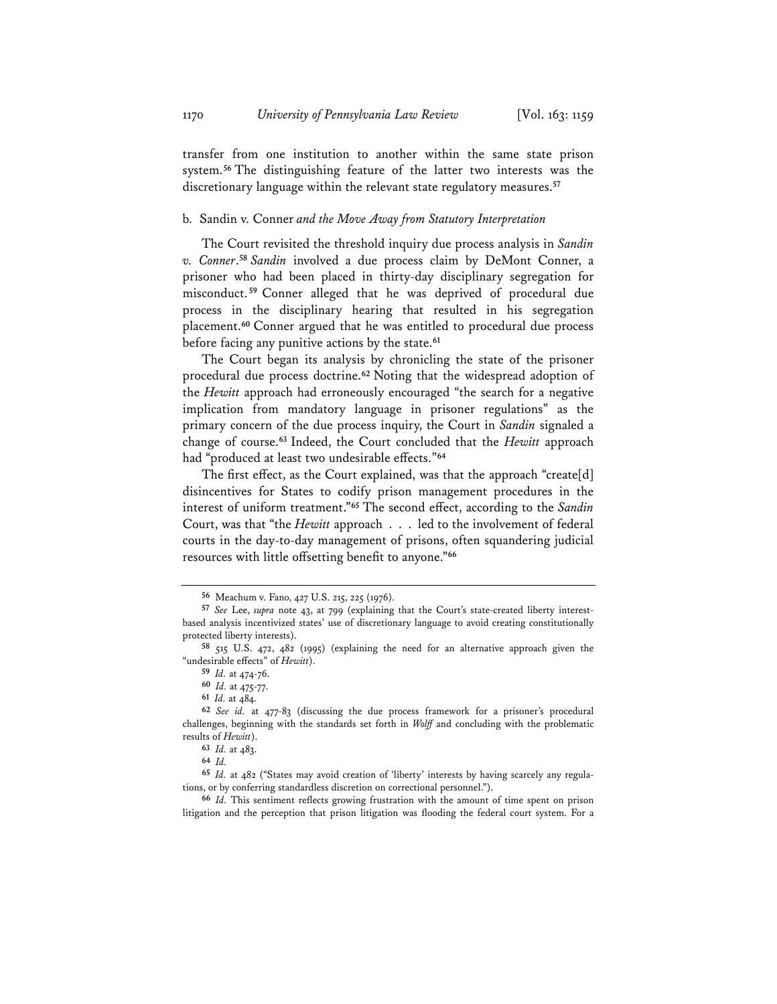transfer from one institution to another within the same state prison system.**<sup>56</sup>** The distinguishing feature of the latter two interests was the discretionary language within the relevant state regulatory measures.**<sup>57</sup>**

#### b. Sandin v. Conner *and the Move Away from Statutory Interpretation*

The Court revisited the threshold inquiry due process analysis in *Sandin v. Conner*. **<sup>58</sup>** *Sandin* involved a due process claim by DeMont Conner, a prisoner who had been placed in thirty-day disciplinary segregation for misconduct. **<sup>59</sup>** Conner alleged that he was deprived of procedural due process in the disciplinary hearing that resulted in his segregation placement.**<sup>60</sup>** Conner argued that he was entitled to procedural due process before facing any punitive actions by the state.**<sup>61</sup>**

The Court began its analysis by chronicling the state of the prisoner procedural due process doctrine.**<sup>62</sup>** Noting that the widespread adoption of the *Hewitt* approach had erroneously encouraged "the search for a negative implication from mandatory language in prisoner regulations" as the primary concern of the due process inquiry, the Court in *Sandin* signaled a change of course.**<sup>63</sup>** Indeed, the Court concluded that the *Hewitt* approach had "produced at least two undesirable effects."**<sup>64</sup>**

The first effect, as the Court explained, was that the approach "create[d] disincentives for States to codify prison management procedures in the interest of uniform treatment."**<sup>65</sup>** The second effect, according to the *Sandin* Court, was that "the *Hewitt* approach . . . led to the involvement of federal courts in the day-to-day management of prisons, often squandering judicial resources with little offsetting benefit to anyone."**<sup>66</sup>**

**<sup>56</sup>** Meachum v. Fano, 427 U.S. 215, 225 (1976).

**<sup>57</sup>** *See* Lee, *supra* note 43, at 799 (explaining that the Court's state-created liberty interestbased analysis incentivized states' use of discretionary language to avoid creating constitutionally protected liberty interests).

**<sup>58</sup>** 515 U.S. 472, 482 (1995) (explaining the need for an alternative approach given the "undesirable effects" of *Hewitt*).

**<sup>59</sup>** *Id.* at 474-76.

**<sup>60</sup>** *Id.* at 475-77.

**<sup>61</sup>** *Id.* at 484.

**<sup>62</sup>** *See id.* at 477-83 (discussing the due process framework for a prisoner's procedural challenges, beginning with the standards set forth in *Wolff* and concluding with the problematic results of *Hewitt*).

**<sup>63</sup>** *Id.* at 483.

**<sup>64</sup>** *Id.*

**<sup>65</sup>** *Id.* at 482 ("States may avoid creation of 'liberty' interests by having scarcely any regulations, or by conferring standardless discretion on correctional personnel.").

**<sup>66</sup>** *Id.* This sentiment reflects growing frustration with the amount of time spent on prison litigation and the perception that prison litigation was flooding the federal court system. For a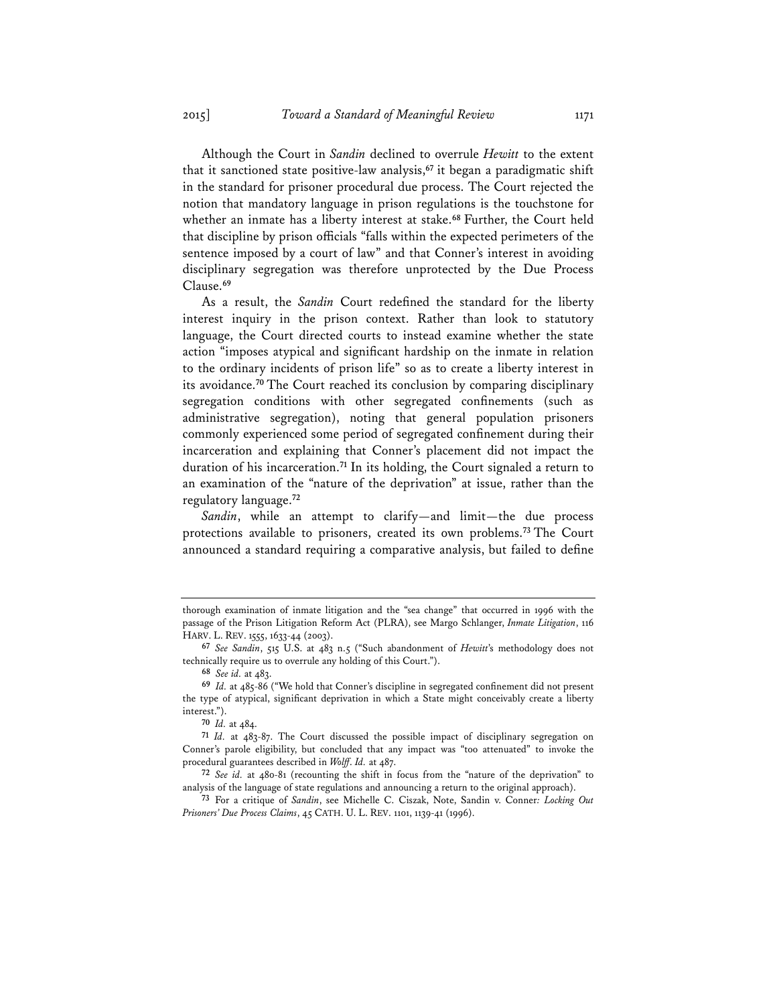Although the Court in *Sandin* declined to overrule *Hewitt* to the extent that it sanctioned state positive-law analysis,**<sup>67</sup>** it began a paradigmatic shift in the standard for prisoner procedural due process. The Court rejected the notion that mandatory language in prison regulations is the touchstone for whether an inmate has a liberty interest at stake.**<sup>68</sup>** Further, the Court held that discipline by prison officials "falls within the expected perimeters of the sentence imposed by a court of law" and that Conner's interest in avoiding disciplinary segregation was therefore unprotected by the Due Process Clause.**<sup>69</sup>**

As a result, the *Sandin* Court redefined the standard for the liberty interest inquiry in the prison context. Rather than look to statutory language, the Court directed courts to instead examine whether the state action "imposes atypical and significant hardship on the inmate in relation to the ordinary incidents of prison life" so as to create a liberty interest in its avoidance.**<sup>70</sup>** The Court reached its conclusion by comparing disciplinary segregation conditions with other segregated confinements (such as administrative segregation), noting that general population prisoners commonly experienced some period of segregated confinement during their incarceration and explaining that Conner's placement did not impact the duration of his incarceration.**<sup>71</sup>** In its holding, the Court signaled a return to an examination of the "nature of the deprivation" at issue, rather than the regulatory language.**<sup>72</sup>**

*Sandin*, while an attempt to clarify—and limit—the due process protections available to prisoners, created its own problems.**<sup>73</sup>** The Court announced a standard requiring a comparative analysis, but failed to define

thorough examination of inmate litigation and the "sea change" that occurred in 1996 with the passage of the Prison Litigation Reform Act (PLRA), see Margo Schlanger, *Inmate Litigation*, 116 HARV. L. REV. 1555, 1633-44 (2003).

**<sup>67</sup>** *See Sandin*, 515 U.S. at 483 n.5 ("Such abandonment of *Hewitt*'s methodology does not technically require us to overrule any holding of this Court.").

**<sup>68</sup>** *See id.* at 483.

**<sup>69</sup>** *Id.* at 485-86 ("We hold that Conner's discipline in segregated confinement did not present the type of atypical, significant deprivation in which a State might conceivably create a liberty interest.").

**<sup>70</sup>** *Id.* at 484.

**<sup>71</sup>** *Id.* at 483-87. The Court discussed the possible impact of disciplinary segregation on Conner's parole eligibility, but concluded that any impact was "too attenuated" to invoke the procedural guarantees described in *Wolff*. *Id.* at 487.

**<sup>72</sup>** *See id.* at 480-81 (recounting the shift in focus from the "nature of the deprivation" to analysis of the language of state regulations and announcing a return to the original approach).

**<sup>73</sup>** For a critique of *Sandin*, see Michelle C. Ciszak, Note, Sandin v. Conner*: Locking Out Prisoners' Due Process Claims*, 45 CATH. U. L. REV. 1101, 1139-41 (1996).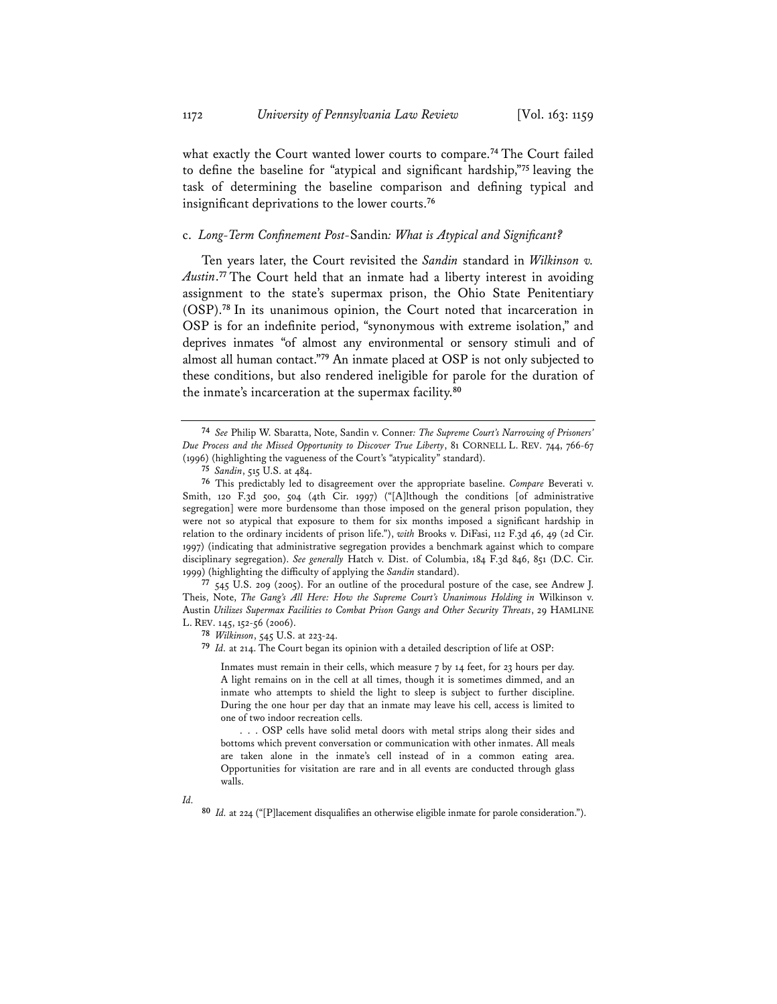what exactly the Court wanted lower courts to compare.**<sup>74</sup>** The Court failed to define the baseline for "atypical and significant hardship,"**<sup>75</sup>** leaving the task of determining the baseline comparison and defining typical and insignificant deprivations to the lower courts.**<sup>76</sup>**

## c. *Long-Term Confinement Post-*Sandin*: What is Atypical and Significant?*

Ten years later, the Court revisited the *Sandin* standard in *Wilkinson v. Austin*. **<sup>77</sup>** The Court held that an inmate had a liberty interest in avoiding assignment to the state's supermax prison, the Ohio State Penitentiary (OSP).**<sup>78</sup>** In its unanimous opinion, the Court noted that incarceration in OSP is for an indefinite period, "synonymous with extreme isolation," and deprives inmates "of almost any environmental or sensory stimuli and of almost all human contact."**<sup>79</sup>** An inmate placed at OSP is not only subjected to these conditions, but also rendered ineligible for parole for the duration of the inmate's incarceration at the supermax facility.**<sup>80</sup>**

**<sup>77</sup>** 545 U.S. 209 (2005). For an outline of the procedural posture of the case, see Andrew J. Theis, Note, *The Gang's All Here: How the Supreme Court's Unanimous Holding in* Wilkinson v. Austin *Utilizes Supermax Facilities to Combat Prison Gangs and Other Security Threats*, 29 HAMLINE L. REV. 145, 152-56 (2006).

**<sup>78</sup>** *Wilkinson*, 545 U.S. at 223-24.

**<sup>79</sup>** *Id.* at 214. The Court began its opinion with a detailed description of life at OSP:

Inmates must remain in their cells, which measure 7 by 14 feet, for 23 hours per day. A light remains on in the cell at all times, though it is sometimes dimmed, and an inmate who attempts to shield the light to sleep is subject to further discipline. During the one hour per day that an inmate may leave his cell, access is limited to one of two indoor recreation cells.

. . . OSP cells have solid metal doors with metal strips along their sides and bottoms which prevent conversation or communication with other inmates. All meals are taken alone in the inmate's cell instead of in a common eating area. Opportunities for visitation are rare and in all events are conducted through glass walls.

*Id.*

**<sup>80</sup>** *Id.* at 224 ("[P]lacement disqualifies an otherwise eligible inmate for parole consideration.").

**<sup>74</sup>** *See* Philip W. Sbaratta, Note, Sandin v. Conner*: The Supreme Court's Narrowing of Prisoners' Due Process and the Missed Opportunity to Discover True Liberty*, 81 CORNELL L. REV. 744, 766-67 (1996) (highlighting the vagueness of the Court's "atypicality" standard).

**<sup>75</sup>** *Sandin*, 515 U.S. at 484.

**<sup>76</sup>** This predictably led to disagreement over the appropriate baseline. *Compare* Beverati v. Smith, 120 F.3d 500, 504 (4th Cir. 1997) ("[A]lthough the conditions [of administrative segregation] were more burdensome than those imposed on the general prison population, they were not so atypical that exposure to them for six months imposed a significant hardship in relation to the ordinary incidents of prison life."), *with* Brooks v. DiFasi, 112 F.3d 46, 49 (2d Cir. 1997) (indicating that administrative segregation provides a benchmark against which to compare disciplinary segregation). *See generally* Hatch v. Dist. of Columbia, 184 F.3d 846, 851 (D.C. Cir. 1999) (highlighting the difficulty of applying the *Sandin* standard).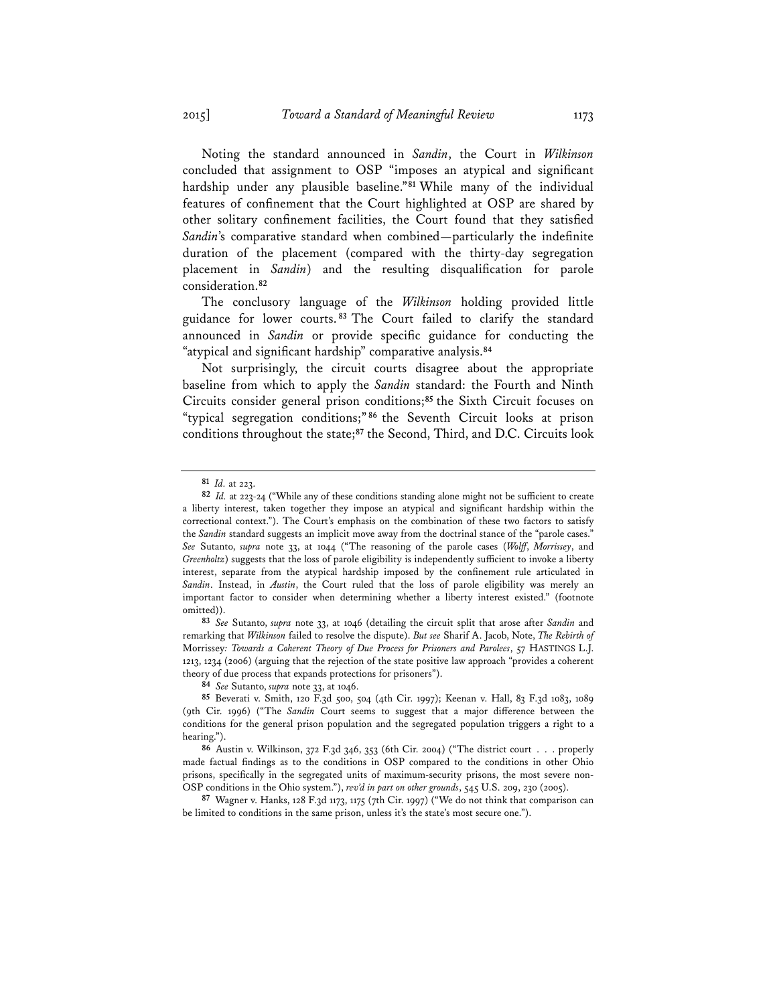Noting the standard announced in *Sandin*, the Court in *Wilkinson* concluded that assignment to OSP "imposes an atypical and significant hardship under any plausible baseline."**<sup>81</sup>** While many of the individual features of confinement that the Court highlighted at OSP are shared by other solitary confinement facilities, the Court found that they satisfied *Sandin*'s comparative standard when combined—particularly the indefinite duration of the placement (compared with the thirty-day segregation placement in *Sandin*) and the resulting disqualification for parole consideration.**<sup>82</sup>**

The conclusory language of the *Wilkinson* holding provided little guidance for lower courts. **<sup>83</sup>** The Court failed to clarify the standard announced in *Sandin* or provide specific guidance for conducting the "atypical and significant hardship" comparative analysis.**<sup>84</sup>**

Not surprisingly, the circuit courts disagree about the appropriate baseline from which to apply the *Sandin* standard: the Fourth and Ninth Circuits consider general prison conditions;**<sup>85</sup>** the Sixth Circuit focuses on "typical segregation conditions;" **<sup>86</sup>** the Seventh Circuit looks at prison conditions throughout the state;**<sup>87</sup>** the Second, Third, and D.C. Circuits look

**<sup>83</sup>** *See* Sutanto, *supra* note 33, at 1046 (detailing the circuit split that arose after *Sandin* and remarking that *Wilkinson* failed to resolve the dispute). *But see* Sharif A. Jacob, Note, *The Rebirth of*  Morrissey*: Towards a Coherent Theory of Due Process for Prisoners and Parolees*, 57 HASTINGS L.J. 1213, 1234 (2006) (arguing that the rejection of the state positive law approach "provides a coherent theory of due process that expands protections for prisoners").

**<sup>84</sup>** *See* Sutanto, *supra* note 33, at 1046.

**<sup>87</sup>** Wagner v. Hanks, 128 F.3d 1173, 1175 (7th Cir. 1997) ("We do not think that comparison can be limited to conditions in the same prison, unless it's the state's most secure one.").

**<sup>81</sup>** *Id.* at 223.

**<sup>82</sup>** *Id.* at 223-24 ("While any of these conditions standing alone might not be sufficient to create a liberty interest, taken together they impose an atypical and significant hardship within the correctional context."). The Court's emphasis on the combination of these two factors to satisfy the *Sandin* standard suggests an implicit move away from the doctrinal stance of the "parole cases." *See* Sutanto, *supra* note 33, at 1044 ("The reasoning of the parole cases (*Wolff*, *Morrissey*, and *Greenholtz*) suggests that the loss of parole eligibility is independently sufficient to invoke a liberty interest, separate from the atypical hardship imposed by the confinement rule articulated in *Sandin*. Instead, in *Austin*, the Court ruled that the loss of parole eligibility was merely an important factor to consider when determining whether a liberty interest existed." (footnote omitted)).

**<sup>85</sup>** Beverati v. Smith, 120 F.3d 500, 504 (4th Cir. 1997); Keenan v. Hall, 83 F.3d 1083, 1089 (9th Cir. 1996) ("The *Sandin* Court seems to suggest that a major difference between the conditions for the general prison population and the segregated population triggers a right to a hearing.").

**<sup>86</sup>** Austin v. Wilkinson, 372 F.3d 346, 353 (6th Cir. 2004) ("The district court . . . properly made factual findings as to the conditions in OSP compared to the conditions in other Ohio prisons, specifically in the segregated units of maximum-security prisons, the most severe non-OSP conditions in the Ohio system."), *rev'd in part on other grounds*, 545 U.S. 209, 230 (2005).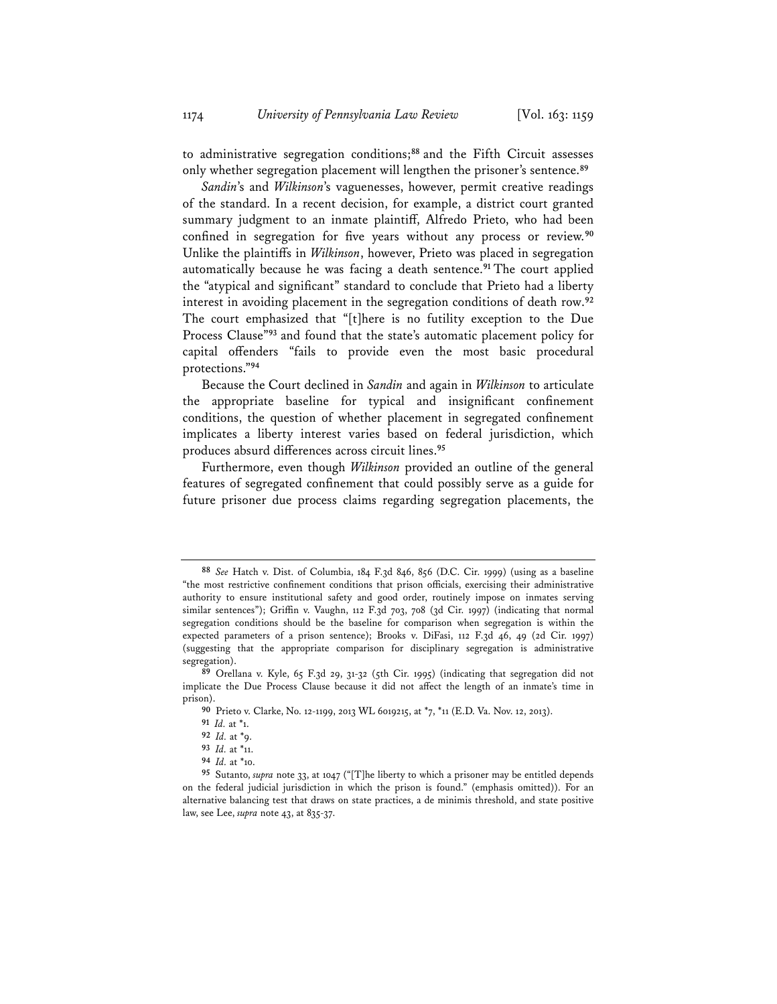to administrative segregation conditions;**<sup>88</sup>** and the Fifth Circuit assesses only whether segregation placement will lengthen the prisoner's sentence.**<sup>89</sup>**

*Sandin*'s and *Wilkinson*'s vaguenesses, however, permit creative readings of the standard. In a recent decision, for example, a district court granted summary judgment to an inmate plaintiff, Alfredo Prieto, who had been confined in segregation for five years without any process or review.**<sup>90</sup>** Unlike the plaintiffs in *Wilkinson*, however, Prieto was placed in segregation automatically because he was facing a death sentence.**<sup>91</sup>** The court applied the "atypical and significant" standard to conclude that Prieto had a liberty interest in avoiding placement in the segregation conditions of death row.**<sup>92</sup>** The court emphasized that "[t]here is no futility exception to the Due Process Clause"**<sup>93</sup>** and found that the state's automatic placement policy for capital offenders "fails to provide even the most basic procedural protections."**<sup>94</sup>**

Because the Court declined in *Sandin* and again in *Wilkinson* to articulate the appropriate baseline for typical and insignificant confinement conditions, the question of whether placement in segregated confinement implicates a liberty interest varies based on federal jurisdiction, which produces absurd differences across circuit lines.**<sup>95</sup>**

Furthermore, even though *Wilkinson* provided an outline of the general features of segregated confinement that could possibly serve as a guide for future prisoner due process claims regarding segregation placements, the

**<sup>88</sup>** *See* Hatch v. Dist. of Columbia, 184 F.3d 846, 856 (D.C. Cir. 1999) (using as a baseline "the most restrictive confinement conditions that prison officials, exercising their administrative authority to ensure institutional safety and good order, routinely impose on inmates serving similar sentences"); Griffin v. Vaughn, 112 F.3d 703, 708 (3d Cir. 1997) (indicating that normal segregation conditions should be the baseline for comparison when segregation is within the expected parameters of a prison sentence); Brooks v. DiFasi, 112 F.3d 46, 49 (2d Cir. 1997) (suggesting that the appropriate comparison for disciplinary segregation is administrative segregation).

**<sup>89</sup>** Orellana v. Kyle, 65 F.3d 29, 31-32 (5th Cir. 1995) (indicating that segregation did not implicate the Due Process Clause because it did not affect the length of an inmate's time in prison).

**<sup>90</sup>** Prieto v. Clarke, No. 12-1199, 2013 WL 6019215, at \*7, \*11 (E.D. Va. Nov. 12, 2013).

**<sup>91</sup>** *Id.* at \*1.

**<sup>92</sup>** *Id.* at \*9.

**<sup>93</sup>** *Id.* at \*11.

**<sup>94</sup>** *Id.* at \*10.

**<sup>95</sup>** Sutanto, *supra* note 33, at 1047 ("[T]he liberty to which a prisoner may be entitled depends on the federal judicial jurisdiction in which the prison is found." (emphasis omitted)). For an alternative balancing test that draws on state practices, a de minimis threshold, and state positive law, see Lee, *supra* note 43, at 835-37.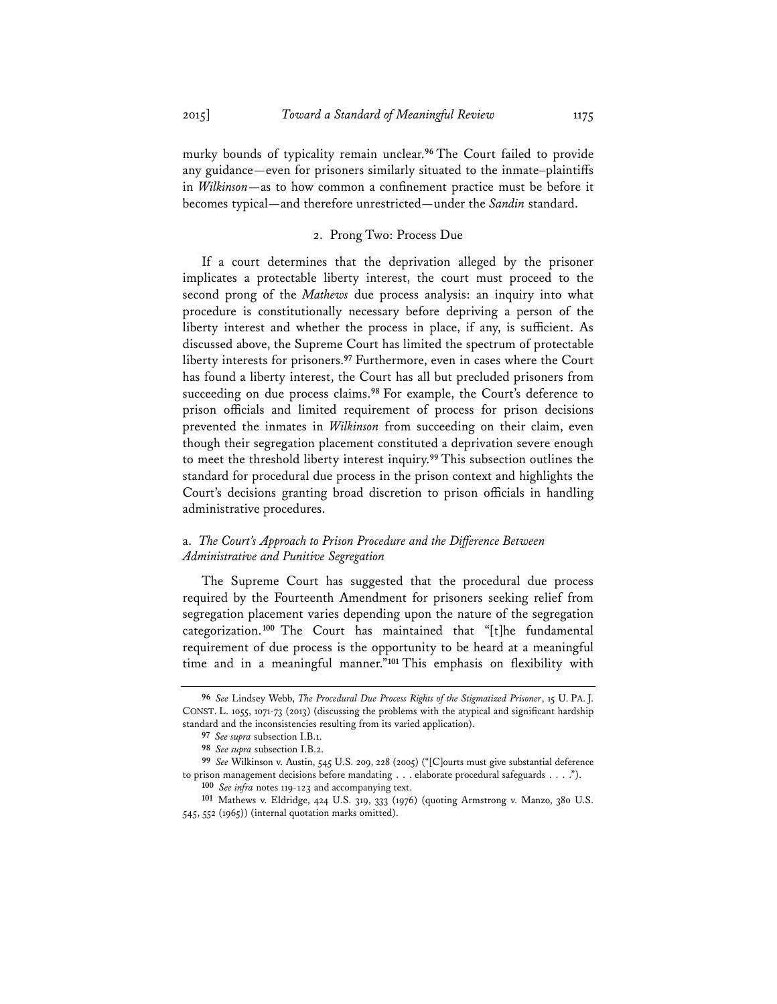murky bounds of typicality remain unclear.**<sup>96</sup>** The Court failed to provide any guidance—even for prisoners similarly situated to the inmate–plaintiffs in *Wilkinson*—as to how common a confinement practice must be before it becomes typical—and therefore unrestricted—under the *Sandin* standard.

## 2. Prong Two: Process Due

If a court determines that the deprivation alleged by the prisoner implicates a protectable liberty interest, the court must proceed to the second prong of the *Mathews* due process analysis: an inquiry into what procedure is constitutionally necessary before depriving a person of the liberty interest and whether the process in place, if any, is sufficient. As discussed above, the Supreme Court has limited the spectrum of protectable liberty interests for prisoners.**<sup>97</sup>** Furthermore, even in cases where the Court has found a liberty interest, the Court has all but precluded prisoners from succeeding on due process claims.**<sup>98</sup>** For example, the Court's deference to prison officials and limited requirement of process for prison decisions prevented the inmates in *Wilkinson* from succeeding on their claim, even though their segregation placement constituted a deprivation severe enough to meet the threshold liberty interest inquiry.**<sup>99</sup>** This subsection outlines the standard for procedural due process in the prison context and highlights the Court's decisions granting broad discretion to prison officials in handling administrative procedures.

## a. *The Court's Approach to Prison Procedure and the Difference Between Administrative and Punitive Segregation*

The Supreme Court has suggested that the procedural due process required by the Fourteenth Amendment for prisoners seeking relief from segregation placement varies depending upon the nature of the segregation categorization.**<sup>100</sup>** The Court has maintained that "[t]he fundamental requirement of due process is the opportunity to be heard at a meaningful time and in a meaningful manner."**<sup>101</sup>** This emphasis on flexibility with

**<sup>96</sup>** *See* Lindsey Webb, *The Procedural Due Process Rights of the Stigmatized Prisoner*, 15 U. PA. J. CONST. L. 1055, 1071-73 (2013) (discussing the problems with the atypical and significant hardship standard and the inconsistencies resulting from its varied application).

**<sup>97</sup>** *See supra* subsection I.B.1.

**<sup>98</sup>** *See supra* subsection I.B.2.

**<sup>99</sup>** *See* Wilkinson v. Austin, 545 U.S. 209, 228 (2005) ("[C]ourts must give substantial deference to prison management decisions before mandating . . . elaborate procedural safeguards . . . ."). **<sup>100</sup>** *See infra* notes 119-123 and accompanying text.

**<sup>101</sup>** Mathews v. Eldridge, 424 U.S. 319, 333 (1976) (quoting Armstrong v. Manzo, 380 U.S. 545, 552 (1965)) (internal quotation marks omitted).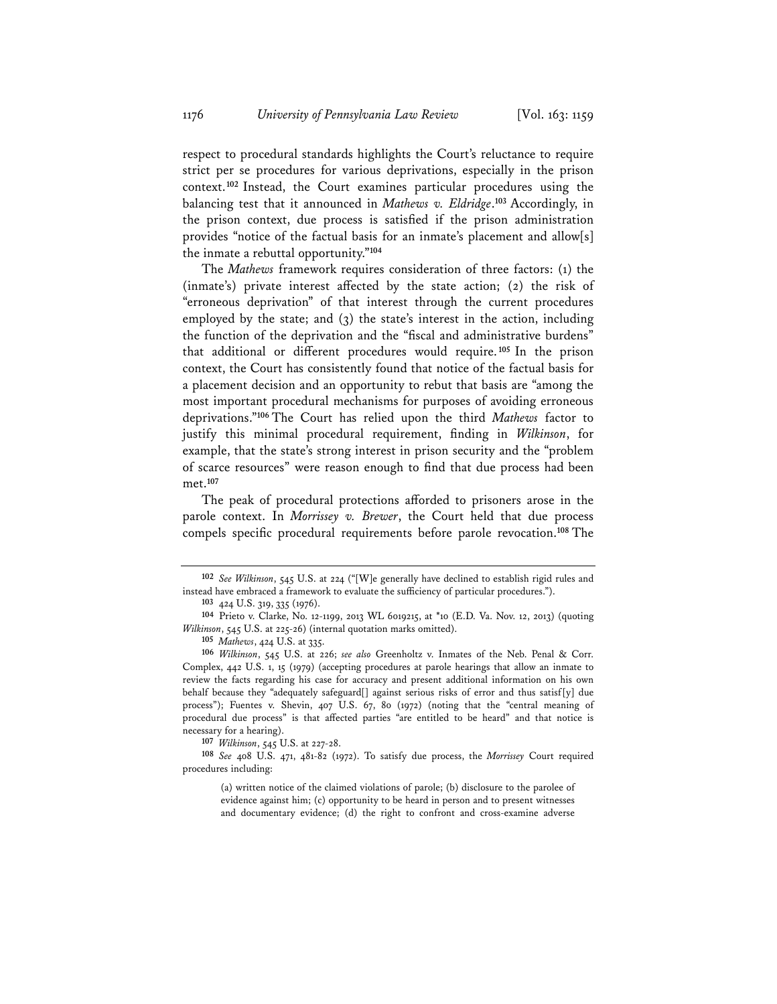respect to procedural standards highlights the Court's reluctance to require strict per se procedures for various deprivations, especially in the prison context.**<sup>102</sup>** Instead, the Court examines particular procedures using the balancing test that it announced in *Mathews v. Eldridge*. **<sup>103</sup>** Accordingly, in the prison context, due process is satisfied if the prison administration provides "notice of the factual basis for an inmate's placement and allow[s] the inmate a rebuttal opportunity."**<sup>104</sup>**

The *Mathews* framework requires consideration of three factors: (1) the (inmate's) private interest affected by the state action; (2) the risk of "erroneous deprivation" of that interest through the current procedures employed by the state; and (3) the state's interest in the action, including the function of the deprivation and the "fiscal and administrative burdens" that additional or different procedures would require.**<sup>105</sup>** In the prison context, the Court has consistently found that notice of the factual basis for a placement decision and an opportunity to rebut that basis are "among the most important procedural mechanisms for purposes of avoiding erroneous deprivations."**<sup>106</sup>** The Court has relied upon the third *Mathews* factor to justify this minimal procedural requirement, finding in *Wilkinson*, for example, that the state's strong interest in prison security and the "problem of scarce resources" were reason enough to find that due process had been met.**<sup>107</sup>**

The peak of procedural protections afforded to prisoners arose in the parole context. In *Morrissey v. Brewer*, the Court held that due process compels specific procedural requirements before parole revocation.**<sup>108</sup>** The

**<sup>107</sup>** *Wilkinson*, 545 U.S. at 227-28.

**<sup>108</sup>** *See* 408 U.S. 471, 481-82 (1972). To satisfy due process, the *Morrissey* Court required procedures including:

(a) written notice of the claimed violations of parole; (b) disclosure to the parolee of evidence against him; (c) opportunity to be heard in person and to present witnesses and documentary evidence; (d) the right to confront and cross-examine adverse

**<sup>102</sup>** *See Wilkinson*, 545 U.S. at 224 ("[W]e generally have declined to establish rigid rules and instead have embraced a framework to evaluate the sufficiency of particular procedures.").

**<sup>103</sup>** 424 U.S. 319, 335 (1976).

**<sup>104</sup>** Prieto v. Clarke, No. 12-1199, 2013 WL 6019215, at \*10 (E.D. Va. Nov. 12, 2013) (quoting *Wilkinson*, 545 U.S. at 225-26) (internal quotation marks omitted).

**<sup>105</sup>** *Mathews*, 424 U.S. at 335.

**<sup>106</sup>** *Wilkinson*, 545 U.S. at 226; *see also* Greenholtz v. Inmates of the Neb. Penal & Corr. Complex, 442 U.S. 1, 15 (1979) (accepting procedures at parole hearings that allow an inmate to review the facts regarding his case for accuracy and present additional information on his own behalf because they "adequately safeguard<sup>[]</sup> against serious risks of error and thus satisf<sup>[y]</sup> due process"); Fuentes v. Shevin, 407 U.S. 67, 80 (1972) (noting that the "central meaning of procedural due process" is that affected parties "are entitled to be heard" and that notice is necessary for a hearing).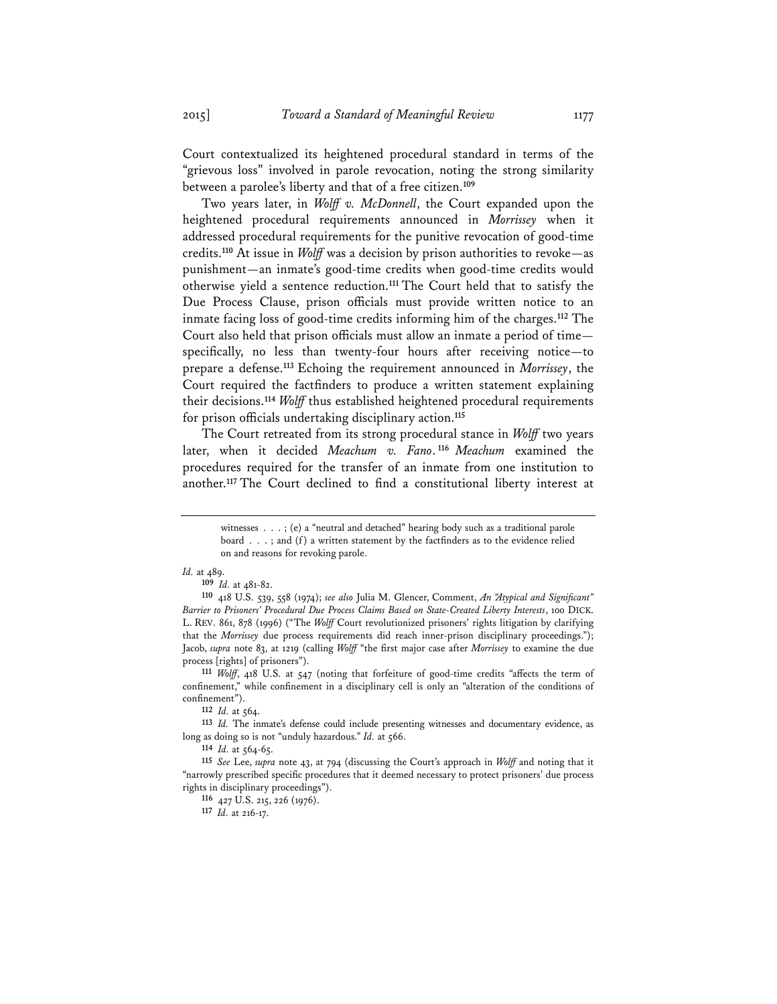Court contextualized its heightened procedural standard in terms of the "grievous loss" involved in parole revocation, noting the strong similarity between a parolee's liberty and that of a free citizen.**<sup>109</sup>**

Two years later, in *Wolff v. McDonnell*, the Court expanded upon the heightened procedural requirements announced in *Morrissey* when it addressed procedural requirements for the punitive revocation of good-time credits.**<sup>110</sup>** At issue in *Wolff* was a decision by prison authorities to revoke—as punishment—an inmate's good-time credits when good-time credits would otherwise yield a sentence reduction.**<sup>111</sup>** The Court held that to satisfy the Due Process Clause, prison officials must provide written notice to an inmate facing loss of good-time credits informing him of the charges.**<sup>112</sup>** The Court also held that prison officials must allow an inmate a period of time specifically, no less than twenty-four hours after receiving notice—to prepare a defense.**<sup>113</sup>** Echoing the requirement announced in *Morrissey*, the Court required the factfinders to produce a written statement explaining their decisions.**<sup>114</sup>** *Wolff* thus established heightened procedural requirements for prison officials undertaking disciplinary action.**<sup>115</sup>**

The Court retreated from its strong procedural stance in *Wolff* two years later, when it decided *Meachum v. Fano*. **<sup>116</sup>** *Meachum* examined the procedures required for the transfer of an inmate from one institution to another.**<sup>117</sup>** The Court declined to find a constitutional liberty interest at

#### *Id.* at 489.

**<sup>109</sup>** *Id.* at 481-82.

**<sup>110</sup>** 418 U.S. 539, 558 (1974); *see also* Julia M. Glencer, Comment, *An "Atypical and Significant" Barrier to Prisoners' Procedural Due Process Claims Based on State-Created Liberty Interests*, 100 DICK. L. REV. 861, 878 (1996) ("The *Wolff* Court revolutionized prisoners' rights litigation by clarifying that the *Morrissey* due process requirements did reach inner-prison disciplinary proceedings."); Jacob, *supra* note 83, at 1219 (calling *Wolff* "the first major case after *Morrissey* to examine the due process [rights] of prisoners"). **<sup>111</sup>** *Wolff*, 418 U.S. at 547 (noting that forfeiture of good-time credits "affects the term of

confinement," while confinement in a disciplinary cell is only an "alteration of the conditions of confinement").

**<sup>117</sup>** *Id.* at 216-17.

witnesses . . . ; (e) a "neutral and detached" hearing body such as a traditional parole board . . . ; and (f) a written statement by the factfinders as to the evidence relied on and reasons for revoking parole.

**<sup>112</sup>** *Id.* at 564.

**<sup>113</sup>** *Id.* The inmate's defense could include presenting witnesses and documentary evidence, as long as doing so is not "unduly hazardous." *Id.* at 566. **<sup>114</sup>** *Id.* at 564-65.

**<sup>115</sup>** *See* Lee, *supra* note 43, at 794 (discussing the Court's approach in *Wolff* and noting that it "narrowly prescribed specific procedures that it deemed necessary to protect prisoners' due process rights in disciplinary proceedings").

**<sup>116</sup>** 427 U.S. 215, 226 (1976).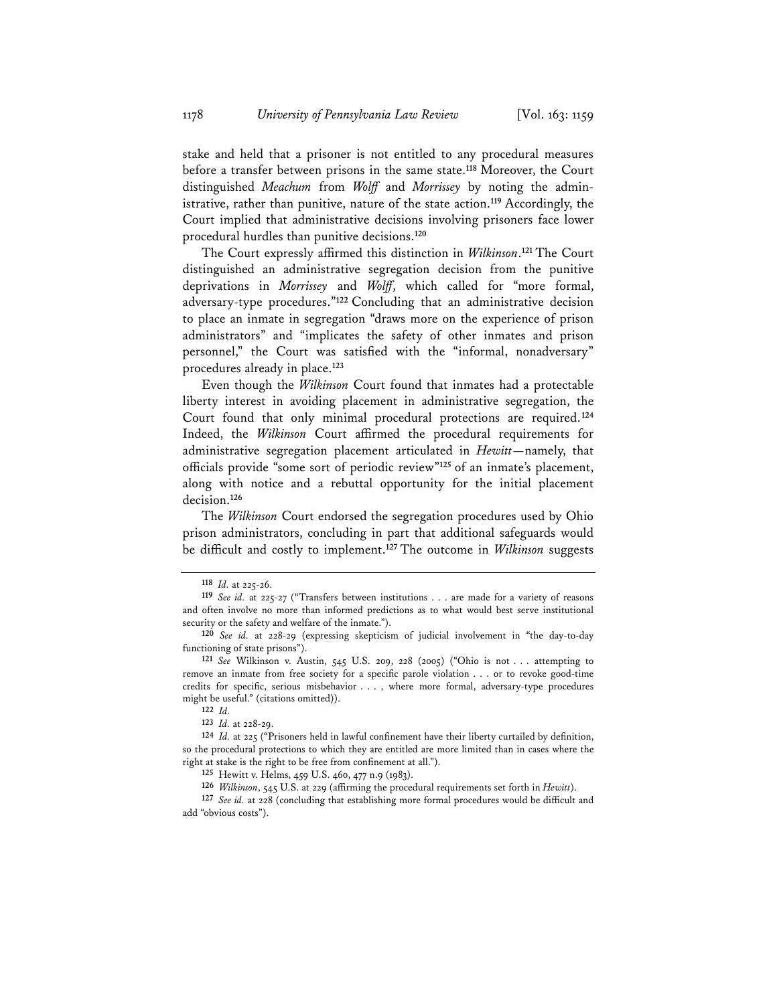stake and held that a prisoner is not entitled to any procedural measures before a transfer between prisons in the same state.**<sup>118</sup>** Moreover, the Court distinguished *Meachum* from *Wolff* and *Morrissey* by noting the administrative, rather than punitive, nature of the state action.**<sup>119</sup>** Accordingly, the Court implied that administrative decisions involving prisoners face lower procedural hurdles than punitive decisions.**<sup>120</sup>**

The Court expressly affirmed this distinction in *Wilkinson*. **<sup>121</sup>** The Court distinguished an administrative segregation decision from the punitive deprivations in *Morrissey* and *Wolff*, which called for "more formal, adversary-type procedures."**<sup>122</sup>** Concluding that an administrative decision to place an inmate in segregation "draws more on the experience of prison administrators" and "implicates the safety of other inmates and prison personnel," the Court was satisfied with the "informal, nonadversary" procedures already in place.**<sup>123</sup>**

Even though the *Wilkinson* Court found that inmates had a protectable liberty interest in avoiding placement in administrative segregation, the Court found that only minimal procedural protections are required.**<sup>124</sup>** Indeed, the *Wilkinson* Court affirmed the procedural requirements for administrative segregation placement articulated in *Hewitt*—namely, that officials provide "some sort of periodic review"**<sup>125</sup>** of an inmate's placement, along with notice and a rebuttal opportunity for the initial placement decision.**<sup>126</sup>**

The *Wilkinson* Court endorsed the segregation procedures used by Ohio prison administrators, concluding in part that additional safeguards would be difficult and costly to implement.**<sup>127</sup>** The outcome in *Wilkinson* suggests

**<sup>118</sup>** *Id.* at 225-26.

**<sup>119</sup>** *See id.* at 225-27 ("Transfers between institutions . . . are made for a variety of reasons and often involve no more than informed predictions as to what would best serve institutional security or the safety and welfare of the inmate.").

**<sup>120</sup>** *See id.* at 228-29 (expressing skepticism of judicial involvement in "the day-to-day functioning of state prisons").

**<sup>121</sup>** *See* Wilkinson v. Austin, 545 U.S. 209, 228 (2005) ("Ohio is not . . . attempting to remove an inmate from free society for a specific parole violation . . . or to revoke good-time credits for specific, serious misbehavior . . . , where more formal, adversary-type procedures might be useful." (citations omitted)).

**<sup>122</sup>** *Id.*

**<sup>123</sup>** *Id.* at 228-29.

**<sup>124</sup>** *Id.* at 225 ("Prisoners held in lawful confinement have their liberty curtailed by definition, so the procedural protections to which they are entitled are more limited than in cases where the right at stake is the right to be free from confinement at all.").

**<sup>125</sup>** Hewitt v. Helms, 459 U.S. 460, 477 n.9 (1983).

**<sup>126</sup>** *Wilkinson*, 545 U.S. at 229 (affirming the procedural requirements set forth in *Hewitt*).

**<sup>127</sup>** *See id.* at 228 (concluding that establishing more formal procedures would be difficult and add "obvious costs").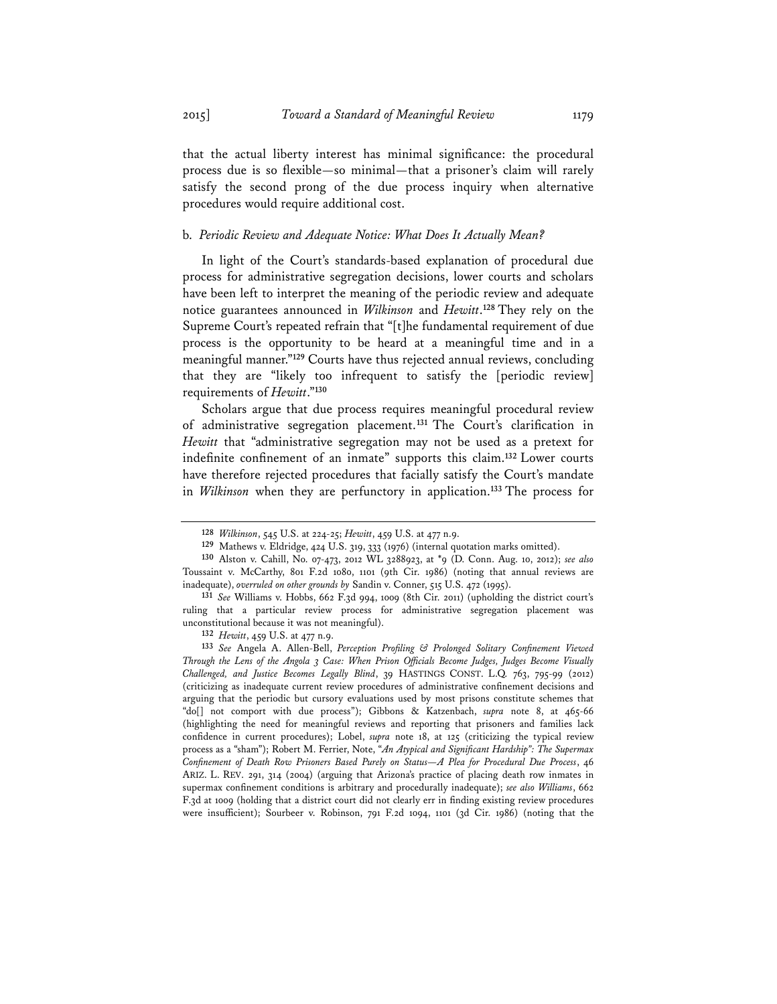that the actual liberty interest has minimal significance: the procedural process due is so flexible—so minimal—that a prisoner's claim will rarely satisfy the second prong of the due process inquiry when alternative

## b. *Periodic Review and Adequate Notice: What Does It Actually Mean?*

procedures would require additional cost.

In light of the Court's standards-based explanation of procedural due process for administrative segregation decisions, lower courts and scholars have been left to interpret the meaning of the periodic review and adequate notice guarantees announced in *Wilkinson* and *Hewitt*. **<sup>128</sup>** They rely on the Supreme Court's repeated refrain that "[t]he fundamental requirement of due process is the opportunity to be heard at a meaningful time and in a meaningful manner."**<sup>129</sup>** Courts have thus rejected annual reviews, concluding that they are "likely too infrequent to satisfy the [periodic review] requirements of *Hewitt*."**<sup>130</sup>**

Scholars argue that due process requires meaningful procedural review of administrative segregation placement.**<sup>131</sup>** The Court's clarification in *Hewitt* that "administrative segregation may not be used as a pretext for indefinite confinement of an inmate" supports this claim.**<sup>132</sup>** Lower courts have therefore rejected procedures that facially satisfy the Court's mandate in *Wilkinson* when they are perfunctory in application.**<sup>133</sup>** The process for

**<sup>128</sup>** *Wilkinson*, 545 U.S. at 224-25; *Hewitt*, 459 U.S. at 477 n.9.

**<sup>129</sup>** Mathews v. Eldridge, 424 U.S. 319, 333 (1976) (internal quotation marks omitted).

**<sup>130</sup>** Alston v. Cahill, No. 07-473, 2012 WL 3288923, at \*9 (D. Conn. Aug. 10, 2012); *see also* Toussaint v. McCarthy, 801 F.2d 1080, 1101 (9th Cir. 1986) (noting that annual reviews are inadequate), *overruled on other grounds by* Sandin v. Conner, 515 U.S. 472 (1995).

**<sup>131</sup>** *See* Williams v. Hobbs, 662 F.3d 994, 1009 (8th Cir. 2011) (upholding the district court's ruling that a particular review process for administrative segregation placement was unconstitutional because it was not meaningful).

**<sup>132</sup>** *Hewitt*, 459 U.S. at 477 n.9.

**<sup>133</sup>** *See* Angela A. Allen-Bell, *Perception Profiling & Prolonged Solitary Confinement Viewed Through the Lens of the Angola 3 Case: When Prison Officials Become Judges, Judges Become Visually Challenged, and Justice Becomes Legally Blind*, 39 HASTINGS CONST. L.Q. 763, 795-99 (2012) (criticizing as inadequate current review procedures of administrative confinement decisions and arguing that the periodic but cursory evaluations used by most prisons constitute schemes that "do[] not comport with due process"); Gibbons & Katzenbach, *supra* note 8, at 465-66 (highlighting the need for meaningful reviews and reporting that prisoners and families lack confidence in current procedures); Lobel, *supra* note 18, at 125 (criticizing the typical review process as a "sham"); Robert M. Ferrier, Note, "*An Atypical and Significant Hardship": The Supermax Confinement of Death Row Prisoners Based Purely on Status—A Plea for Procedural Due Process*, 46 ARIZ. L. REV. 291, 314 (2004) (arguing that Arizona's practice of placing death row inmates in supermax confinement conditions is arbitrary and procedurally inadequate); *see also Williams*, 662 F.3d at 1009 (holding that a district court did not clearly err in finding existing review procedures were insufficient); Sourbeer v. Robinson, 791 F.2d 1094, 1101 (3d Cir. 1986) (noting that the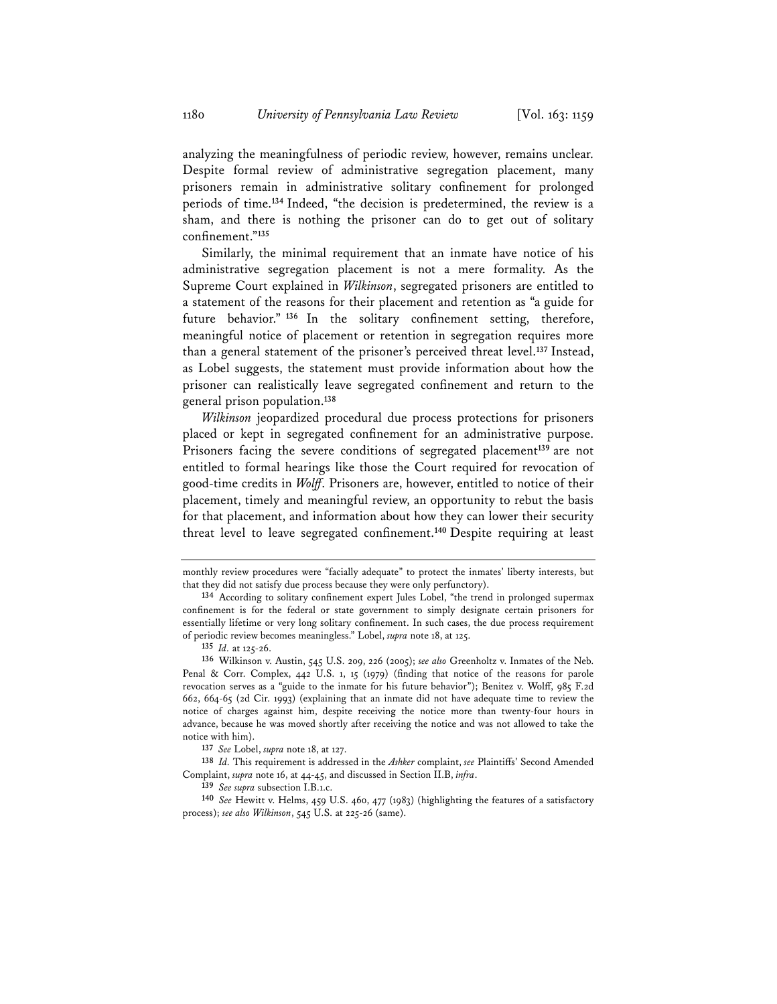analyzing the meaningfulness of periodic review, however, remains unclear. Despite formal review of administrative segregation placement, many prisoners remain in administrative solitary confinement for prolonged periods of time.**<sup>134</sup>** Indeed, "the decision is predetermined, the review is a sham, and there is nothing the prisoner can do to get out of solitary confinement."**<sup>135</sup>**

Similarly, the minimal requirement that an inmate have notice of his administrative segregation placement is not a mere formality. As the Supreme Court explained in *Wilkinson*, segregated prisoners are entitled to a statement of the reasons for their placement and retention as "a guide for future behavior." **<sup>136</sup>** In the solitary confinement setting, therefore, meaningful notice of placement or retention in segregation requires more than a general statement of the prisoner's perceived threat level.**<sup>137</sup>** Instead, as Lobel suggests, the statement must provide information about how the prisoner can realistically leave segregated confinement and return to the general prison population.**<sup>138</sup>**

*Wilkinson* jeopardized procedural due process protections for prisoners placed or kept in segregated confinement for an administrative purpose. Prisoners facing the severe conditions of segregated placement**<sup>139</sup>** are not entitled to formal hearings like those the Court required for revocation of good-time credits in *Wolff*. Prisoners are, however, entitled to notice of their placement, timely and meaningful review, an opportunity to rebut the basis for that placement, and information about how they can lower their security threat level to leave segregated confinement.**<sup>140</sup>** Despite requiring at least

**<sup>135</sup>** *Id.* at 125-26.

**<sup>137</sup>** *See* Lobel, *supra* note 18, at 127.

**<sup>138</sup>** *Id.* This requirement is addressed in the *Ashker* complaint, *see* Plaintiffs' Second Amended Complaint, *supra* note 16, at 44-45, and discussed in Section II.B, *infra*. **<sup>139</sup>** *See supra* subsection I.B.1.c.

monthly review procedures were "facially adequate" to protect the inmates' liberty interests, but that they did not satisfy due process because they were only perfunctory).

**<sup>134</sup>** According to solitary confinement expert Jules Lobel, "the trend in prolonged supermax confinement is for the federal or state government to simply designate certain prisoners for essentially lifetime or very long solitary confinement. In such cases, the due process requirement of periodic review becomes meaningless." Lobel, *supra* note 18, at 125.

**<sup>136</sup>** Wilkinson v. Austin, 545 U.S. 209, 226 (2005); *see also* Greenholtz v. Inmates of the Neb. Penal & Corr. Complex, 442 U.S. 1, 15 (1979) (finding that notice of the reasons for parole revocation serves as a "guide to the inmate for his future behavior"); Benitez v. Wolff, 985 F.2d 662, 664-65 (2d Cir. 1993) (explaining that an inmate did not have adequate time to review the notice of charges against him, despite receiving the notice more than twenty-four hours in advance, because he was moved shortly after receiving the notice and was not allowed to take the notice with him).

**<sup>140</sup>** *See* Hewitt v. Helms, 459 U.S. 460, 477 (1983) (highlighting the features of a satisfactory process); *see also Wilkinson*, 545 U.S. at 225-26 (same).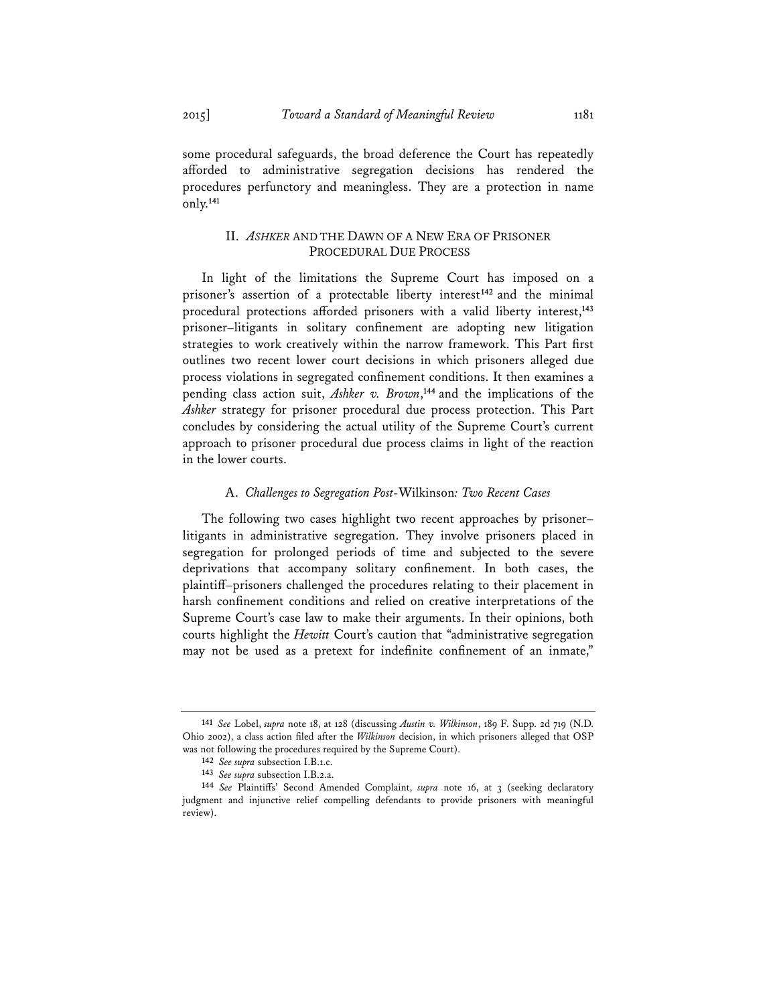some procedural safeguards, the broad deference the Court has repeatedly afforded to administrative segregation decisions has rendered the procedures perfunctory and meaningless. They are a protection in name only.**<sup>141</sup>**

## II. *ASHKER* AND THE DAWN OF A NEW ERA OF PRISONER PROCEDURAL DUE PROCESS

In light of the limitations the Supreme Court has imposed on a prisoner's assertion of a protectable liberty interest**<sup>142</sup>** and the minimal procedural protections afforded prisoners with a valid liberty interest,**<sup>143</sup>** prisoner–litigants in solitary confinement are adopting new litigation strategies to work creatively within the narrow framework. This Part first outlines two recent lower court decisions in which prisoners alleged due process violations in segregated confinement conditions. It then examines a pending class action suit, *Ashker v. Brown*, **<sup>144</sup>** and the implications of the *Ashker* strategy for prisoner procedural due process protection. This Part concludes by considering the actual utility of the Supreme Court's current approach to prisoner procedural due process claims in light of the reaction in the lower courts.

#### A. *Challenges to Segregation Post-*Wilkinson*: Two Recent Cases*

The following two cases highlight two recent approaches by prisoner– litigants in administrative segregation. They involve prisoners placed in segregation for prolonged periods of time and subjected to the severe deprivations that accompany solitary confinement. In both cases, the plaintiff–prisoners challenged the procedures relating to their placement in harsh confinement conditions and relied on creative interpretations of the Supreme Court's case law to make their arguments. In their opinions, both courts highlight the *Hewitt* Court's caution that "administrative segregation may not be used as a pretext for indefinite confinement of an inmate,"

**<sup>141</sup>** *See* Lobel, *supra* note 18, at 128 (discussing *Austin v. Wilkinson*, 189 F. Supp. 2d 719 (N.D. Ohio 2002), a class action filed after the *Wilkinson* decision, in which prisoners alleged that OSP was not following the procedures required by the Supreme Court).

**<sup>142</sup>** *See supra* subsection I.B.1.c.

<sup>144</sup> *See* Plaintiffs' Second Amended Complaint, *supra* note 16, at 3 (seeking declaratory judgment and injunctive relief compelling defendants to provide prisoners with meaningful review).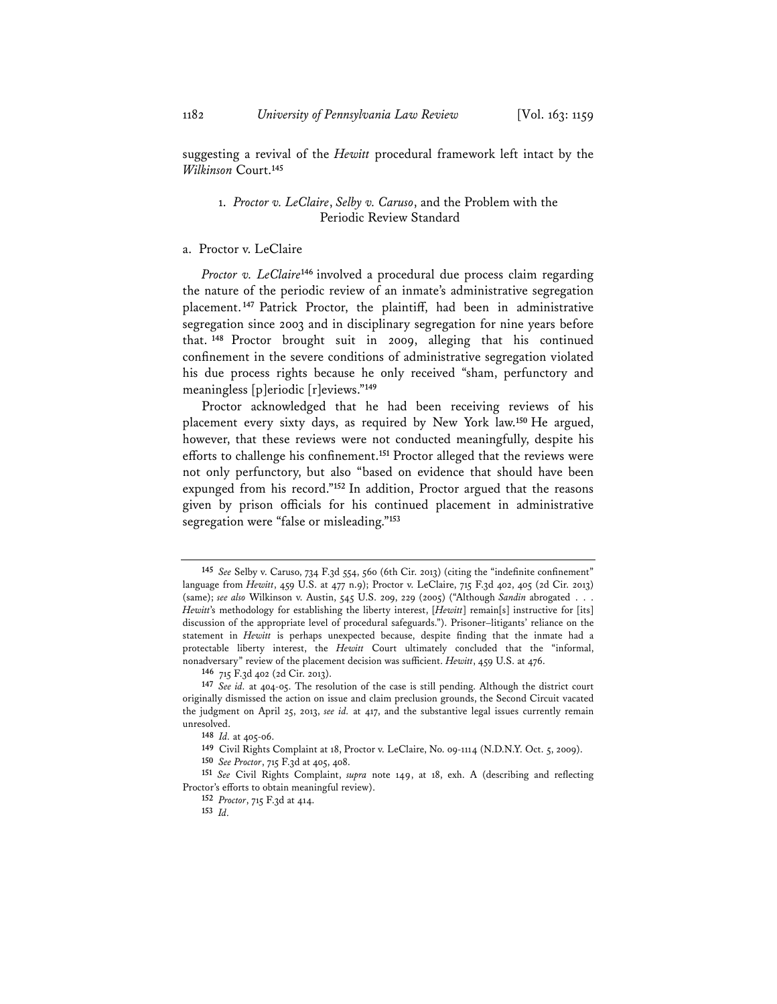suggesting a revival of the *Hewitt* procedural framework left intact by the *Wilkinson* Court.**<sup>145</sup>**

## 1. *Proctor v. LeClaire*, *Selby v. Caruso*, and the Problem with the Periodic Review Standard

#### a. Proctor v. LeClaire

*Proctor v. LeClaire***<sup>146</sup>** involved a procedural due process claim regarding the nature of the periodic review of an inmate's administrative segregation placement.**<sup>147</sup>** Patrick Proctor, the plaintiff, had been in administrative segregation since 2003 and in disciplinary segregation for nine years before that. **<sup>148</sup>** Proctor brought suit in 2009, alleging that his continued confinement in the severe conditions of administrative segregation violated his due process rights because he only received "sham, perfunctory and meaningless [p]eriodic [r]eviews."**<sup>149</sup>**

Proctor acknowledged that he had been receiving reviews of his placement every sixty days, as required by New York law.**<sup>150</sup>** He argued, however, that these reviews were not conducted meaningfully, despite his efforts to challenge his confinement.**<sup>151</sup>** Proctor alleged that the reviews were not only perfunctory, but also "based on evidence that should have been expunged from his record."**<sup>152</sup>** In addition, Proctor argued that the reasons given by prison officials for his continued placement in administrative segregation were "false or misleading."**<sup>153</sup>**

**<sup>145</sup>** *See* Selby v. Caruso, 734 F.3d 554, 560 (6th Cir. 2013) (citing the "indefinite confinement" language from *Hewitt*, 459 U.S. at 477 n.9); Proctor v. LeClaire, 715 F.3d 402, 405 (2d Cir. 2013) (same); *see also* Wilkinson v. Austin, 545 U.S. 209, 229 (2005) ("Although *Sandin* abrogated . . . *Hewitt*'s methodology for establishing the liberty interest, [*Hewitt*] remain[s] instructive for [its] discussion of the appropriate level of procedural safeguards."). Prisoner–litigants' reliance on the statement in *Hewitt* is perhaps unexpected because, despite finding that the inmate had a protectable liberty interest, the *Hewitt* Court ultimately concluded that the "informal, nonadversary" review of the placement decision was sufficient. *Hewitt*, 459 U.S. at 476.

**<sup>146</sup>** 715 F.3d 402 (2d Cir. 2013).

**<sup>147</sup>** *See id.* at 404-05. The resolution of the case is still pending. Although the district court originally dismissed the action on issue and claim preclusion grounds, the Second Circuit vacated the judgment on April 25, 2013, *see id.* at 417, and the substantive legal issues currently remain unresolved.

**<sup>148</sup>** *Id.* at 405-06.

**<sup>149</sup>** Civil Rights Complaint at 18, Proctor v. LeClaire, No. 09-1114 (N.D.N.Y. Oct. 5, 2009).

**<sup>150</sup>** *See Proctor*, 715 F.3d at 405, 408.

**<sup>151</sup>** *See* Civil Rights Complaint, *supra* note 149, at 18, exh. A (describing and reflecting Proctor's efforts to obtain meaningful review).

**<sup>152</sup>** *Proctor*, 715 F.3d at 414.

**<sup>153</sup>** *Id.*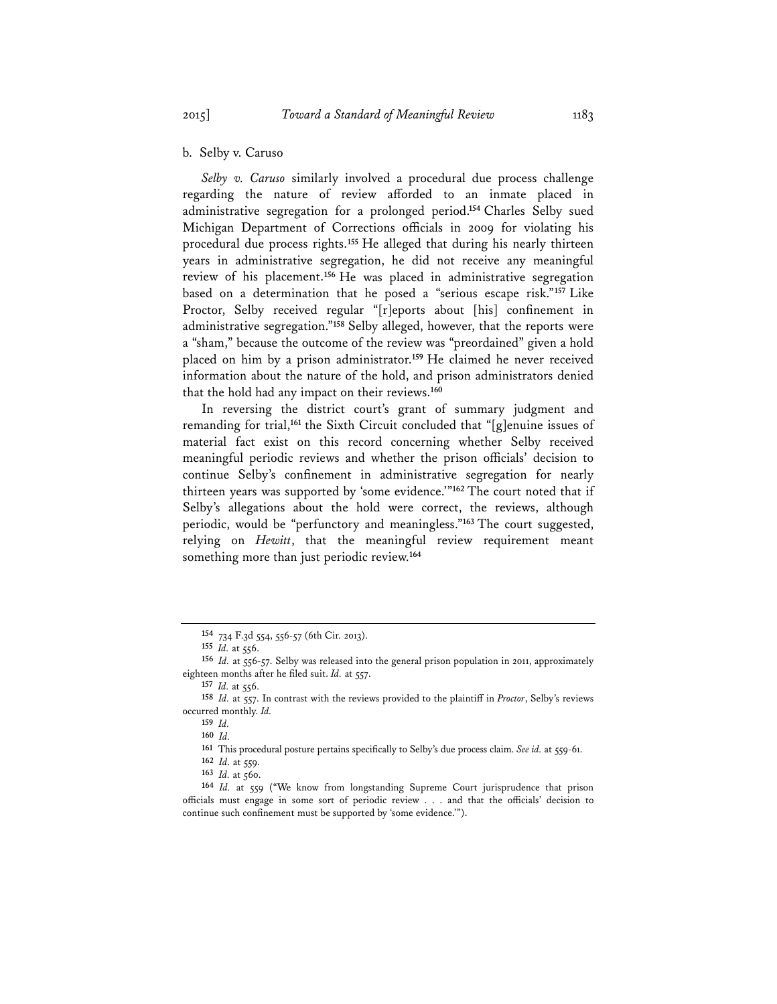b. Selby v. Caruso

*Selby v. Caruso* similarly involved a procedural due process challenge regarding the nature of review afforded to an inmate placed in administrative segregation for a prolonged period.**<sup>154</sup>** Charles Selby sued Michigan Department of Corrections officials in 2009 for violating his procedural due process rights.**<sup>155</sup>** He alleged that during his nearly thirteen years in administrative segregation, he did not receive any meaningful review of his placement.**<sup>156</sup>** He was placed in administrative segregation based on a determination that he posed a "serious escape risk."**<sup>157</sup>** Like Proctor, Selby received regular "[r]eports about [his] confinement in administrative segregation."**<sup>158</sup>** Selby alleged, however, that the reports were a "sham," because the outcome of the review was "preordained" given a hold placed on him by a prison administrator.**<sup>159</sup>** He claimed he never received information about the nature of the hold, and prison administrators denied that the hold had any impact on their reviews.**<sup>160</sup>**

In reversing the district court's grant of summary judgment and remanding for trial,**<sup>161</sup>** the Sixth Circuit concluded that "[g]enuine issues of material fact exist on this record concerning whether Selby received meaningful periodic reviews and whether the prison officials' decision to continue Selby's confinement in administrative segregation for nearly thirteen years was supported by 'some evidence.'"**<sup>162</sup>** The court noted that if Selby's allegations about the hold were correct, the reviews, although periodic, would be "perfunctory and meaningless."**<sup>163</sup>** The court suggested, relying on *Hewitt*, that the meaningful review requirement meant something more than just periodic review.**<sup>164</sup>**

**<sup>161</sup>** This procedural posture pertains specifically to Selby's due process claim. *See id.* at 559-61.

**<sup>154</sup>** 734 F.3d 554, 556-57 (6th Cir. 2013).

**<sup>155</sup>** *Id.* at 556.

**<sup>156</sup>** *Id.* at 556-57. Selby was released into the general prison population in 2011, approximately eighteen months after he filed suit. *Id.* at 557.

**<sup>157</sup>** *Id.* at 556.

**<sup>158</sup>** *Id.* at 557. In contrast with the reviews provided to the plaintiff in *Proctor*, Selby's reviews occurred monthly. *Id.*

**<sup>159</sup>** *Id.* **<sup>160</sup>** *Id.*

**<sup>162</sup>** *Id.* at 559.

**<sup>163</sup>** *Id.* at 560.

**<sup>164</sup>** *Id.* at 559 ("We know from longstanding Supreme Court jurisprudence that prison officials must engage in some sort of periodic review . . . and that the officials' decision to continue such confinement must be supported by 'some evidence.'").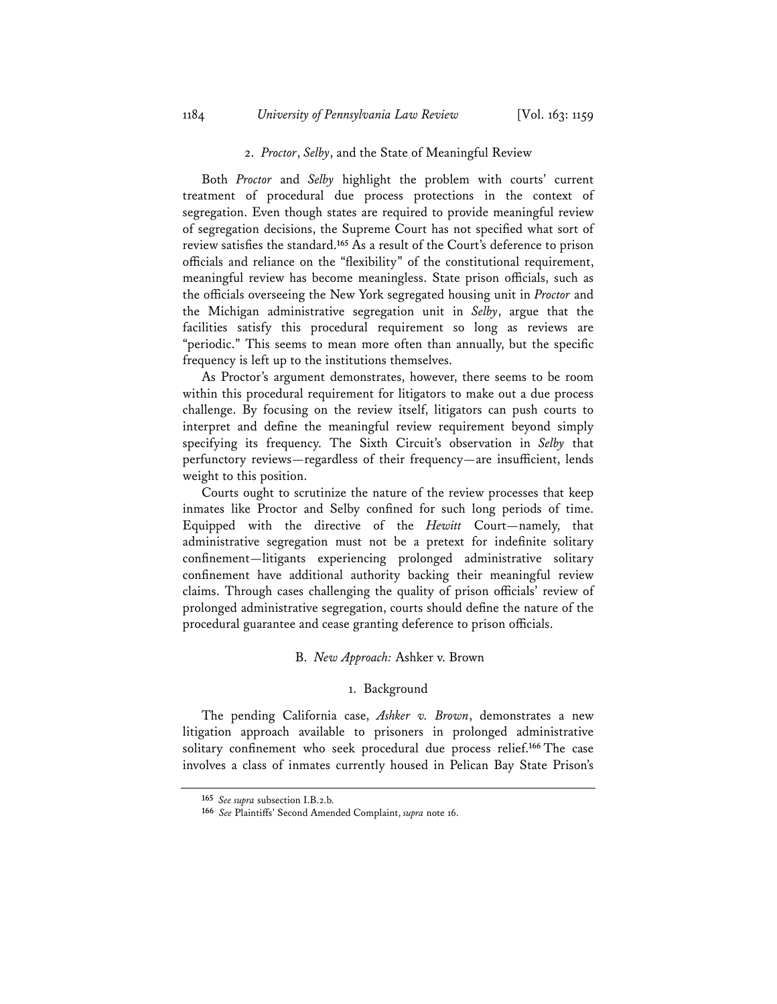## 2. *Proctor*, *Selby*, and the State of Meaningful Review

Both *Proctor* and *Selby* highlight the problem with courts' current treatment of procedural due process protections in the context of segregation. Even though states are required to provide meaningful review of segregation decisions, the Supreme Court has not specified what sort of review satisfies the standard.**<sup>165</sup>** As a result of the Court's deference to prison officials and reliance on the "flexibility" of the constitutional requirement, meaningful review has become meaningless. State prison officials, such as the officials overseeing the New York segregated housing unit in *Proctor* and the Michigan administrative segregation unit in *Selby*, argue that the facilities satisfy this procedural requirement so long as reviews are "periodic." This seems to mean more often than annually, but the specific frequency is left up to the institutions themselves.

As Proctor's argument demonstrates, however, there seems to be room within this procedural requirement for litigators to make out a due process challenge. By focusing on the review itself, litigators can push courts to interpret and define the meaningful review requirement beyond simply specifying its frequency. The Sixth Circuit's observation in *Selby* that perfunctory reviews—regardless of their frequency—are insufficient, lends weight to this position.

Courts ought to scrutinize the nature of the review processes that keep inmates like Proctor and Selby confined for such long periods of time. Equipped with the directive of the *Hewitt* Court—namely, that administrative segregation must not be a pretext for indefinite solitary confinement—litigants experiencing prolonged administrative solitary confinement have additional authority backing their meaningful review claims. Through cases challenging the quality of prison officials' review of prolonged administrative segregation, courts should define the nature of the procedural guarantee and cease granting deference to prison officials.

#### B. *New Approach:* Ashker v. Brown

## 1. Background

The pending California case, *Ashker v. Brown*, demonstrates a new litigation approach available to prisoners in prolonged administrative solitary confinement who seek procedural due process relief.**<sup>166</sup>** The case involves a class of inmates currently housed in Pelican Bay State Prison's

**<sup>165</sup>** *See supra* subsection I.B.2.b.

**<sup>166</sup>** *See* Plaintiffs' Second Amended Complaint, *supra* note 16.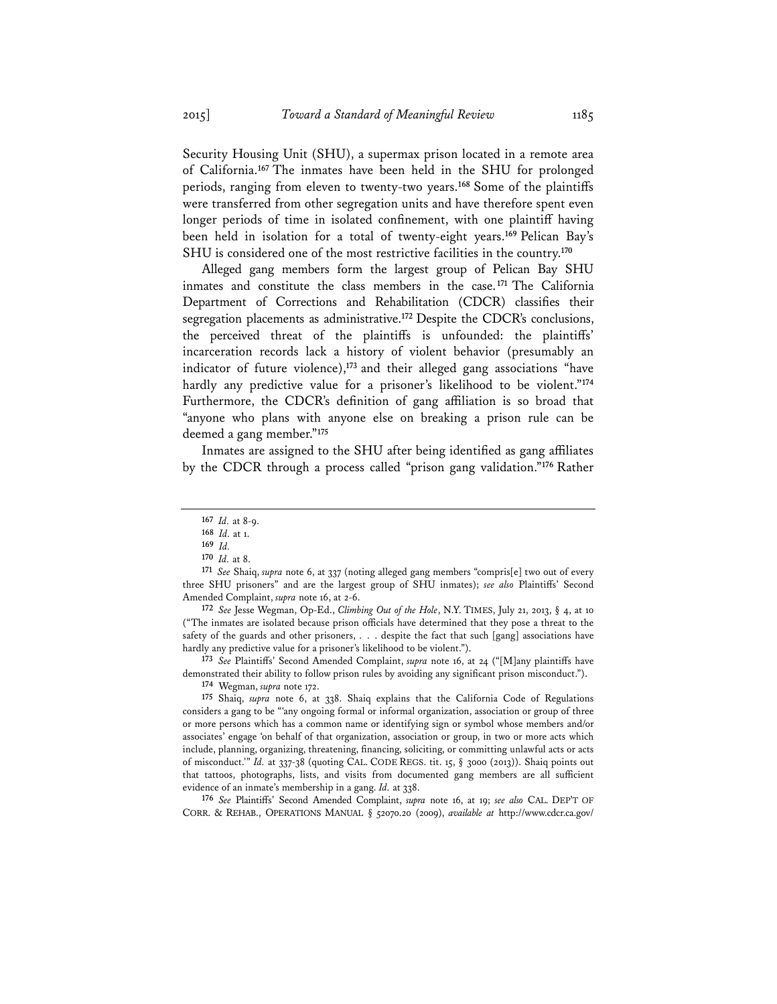Security Housing Unit (SHU), a supermax prison located in a remote area of California.**<sup>167</sup>** The inmates have been held in the SHU for prolonged periods, ranging from eleven to twenty-two years.**<sup>168</sup>** Some of the plaintiffs were transferred from other segregation units and have therefore spent even longer periods of time in isolated confinement, with one plaintiff having been held in isolation for a total of twenty-eight years.**<sup>169</sup>** Pelican Bay's SHU is considered one of the most restrictive facilities in the country.**<sup>170</sup>**

Alleged gang members form the largest group of Pelican Bay SHU inmates and constitute the class members in the case.**<sup>171</sup>** The California Department of Corrections and Rehabilitation (CDCR) classifies their segregation placements as administrative.**<sup>172</sup>** Despite the CDCR's conclusions, the perceived threat of the plaintiffs is unfounded: the plaintiffs' incarceration records lack a history of violent behavior (presumably an indicator of future violence),**<sup>173</sup>** and their alleged gang associations "have hardly any predictive value for a prisoner's likelihood to be violent."**<sup>174</sup>** Furthermore, the CDCR's definition of gang affiliation is so broad that "anyone who plans with anyone else on breaking a prison rule can be deemed a gang member."**<sup>175</sup>**

Inmates are assigned to the SHU after being identified as gang affiliates by the CDCR through a process called "prison gang validation."**<sup>176</sup>** Rather

**<sup>172</sup>** *See* Jesse Wegman, Op-Ed., *Climbing Out of the Hole*, N.Y. TIMES, July 21, 2013, § 4, at 10 ("The inmates are isolated because prison officials have determined that they pose a threat to the safety of the guards and other prisoners, . . . despite the fact that such [gang] associations have hardly any predictive value for a prisoner's likelihood to be violent.").

**<sup>173</sup>** *See* Plaintiffs' Second Amended Complaint, *supra* note 16, at 24 ("[M]any plaintiffs have demonstrated their ability to follow prison rules by avoiding any significant prison misconduct.").

**<sup>176</sup>** *See* Plaintiffs' Second Amended Complaint, *supra* note 16, at 19; *see also* CAL. DEP'T OF CORR. & REHAB., OPERATIONS MANUAL § 52070.20 (2009), *available at* http://www.cdcr.ca.gov/

**<sup>167</sup>** *Id.* at 8-9.

**<sup>169</sup>** *Id.* **170** *Id.* at 8.

**<sup>171</sup>** *See* Shaiq, *supra* note 6, at 337 (noting alleged gang members "compris[e] two out of every three SHU prisoners" and are the largest group of SHU inmates); *see also* Plaintiffs' Second Amended Complaint, *supra* note 16, at 2-6.

**<sup>174</sup>** Wegman, *supra* note 172.

**<sup>175</sup>** Shaiq, *supra* note 6, at 338. Shaiq explains that the California Code of Regulations considers a gang to be "'any ongoing formal or informal organization, association or group of three or more persons which has a common name or identifying sign or symbol whose members and/or associates' engage 'on behalf of that organization, association or group, in two or more acts which include, planning, organizing, threatening, financing, soliciting, or committing unlawful acts or acts of misconduct.'" *Id.* at 337-38 (quoting CAL. CODE REGS. tit. 15, § 3000 (2013)). Shaiq points out that tattoos, photographs, lists, and visits from documented gang members are all sufficient evidence of an inmate's membership in a gang. *Id.* at 338.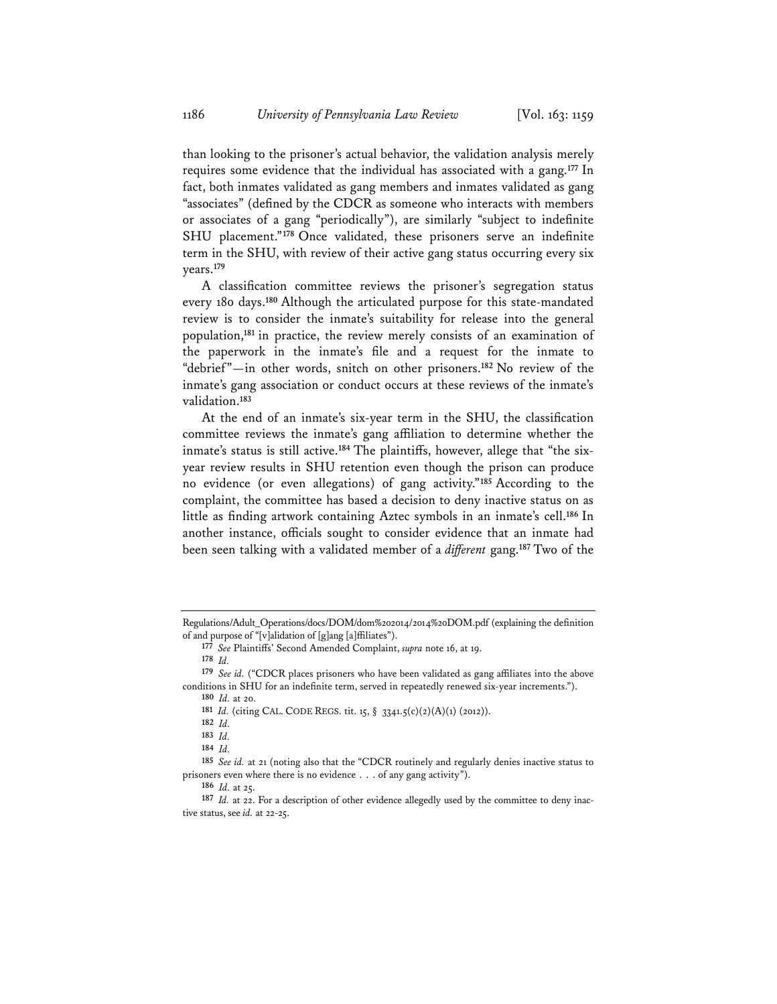than looking to the prisoner's actual behavior, the validation analysis merely requires some evidence that the individual has associated with a gang.**<sup>177</sup>** In fact, both inmates validated as gang members and inmates validated as gang "associates" (defined by the CDCR as someone who interacts with members or associates of a gang "periodically"), are similarly "subject to indefinite SHU placement."**<sup>178</sup>** Once validated, these prisoners serve an indefinite term in the SHU, with review of their active gang status occurring every six years.**<sup>179</sup>**

A classification committee reviews the prisoner's segregation status every 180 days.**<sup>180</sup>** Although the articulated purpose for this state-mandated review is to consider the inmate's suitability for release into the general population,**<sup>181</sup>** in practice, the review merely consists of an examination of the paperwork in the inmate's file and a request for the inmate to "debrief"—in other words, snitch on other prisoners.**<sup>182</sup>** No review of the inmate's gang association or conduct occurs at these reviews of the inmate's validation.**<sup>183</sup>**

At the end of an inmate's six-year term in the SHU, the classification committee reviews the inmate's gang affiliation to determine whether the inmate's status is still active.**<sup>184</sup>** The plaintiffs, however, allege that "the sixyear review results in SHU retention even though the prison can produce no evidence (or even allegations) of gang activity."**<sup>185</sup>** According to the complaint, the committee has based a decision to deny inactive status on as little as finding artwork containing Aztec symbols in an inmate's cell.**<sup>186</sup>** In another instance, officials sought to consider evidence that an inmate had been seen talking with a validated member of a *different* gang.**<sup>187</sup>** Two of the

Regulations/Adult\_Operations/docs/DOM/dom%202014/2014%20DOM.pdf (explaining the definition of and purpose of "[v]alidation of [g]ang [a]ffiliates").

**<sup>177</sup>** *See* Plaintiffs' Second Amended Complaint, *supra* note 16, at 19.

**<sup>178</sup>** *Id.*

**<sup>179</sup>** *See id.* ("CDCR places prisoners who have been validated as gang affiliates into the above conditions in SHU for an indefinite term, served in repeatedly renewed six-year increments.").

**<sup>180</sup>** *Id.* at 20. **<sup>181</sup>** *Id.* (citing CAL. CODE REGS. tit. 15, § 3341.5(c)(2)(A)(1) (2012)).

**<sup>182</sup>** *Id.*

**<sup>183</sup>** *Id.*

**<sup>184</sup>** *Id.*

**<sup>185</sup>** *See id.* at 21 (noting also that the "CDCR routinely and regularly denies inactive status to prisoners even where there is no evidence . . . of any gang activity").

**<sup>186</sup>** *Id.* at 25.

**<sup>187</sup>** *Id.* at 22. For a description of other evidence allegedly used by the committee to deny inactive status, see *id.* at 22-25.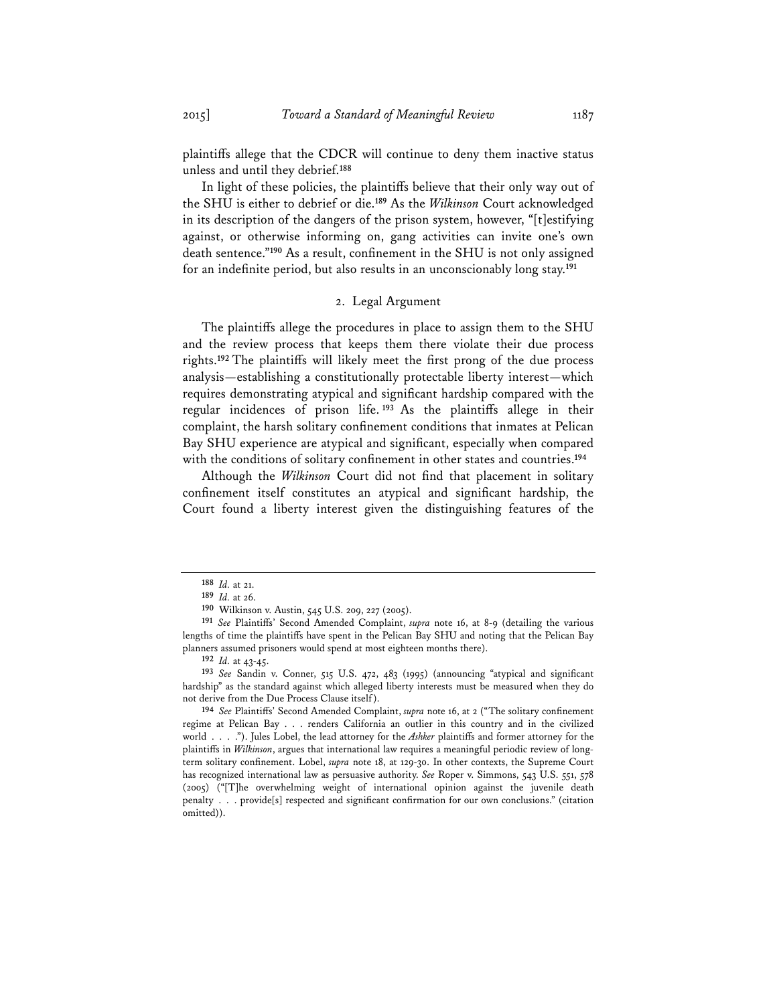plaintiffs allege that the CDCR will continue to deny them inactive status unless and until they debrief.**<sup>188</sup>**

In light of these policies, the plaintiffs believe that their only way out of the SHU is either to debrief or die.**<sup>189</sup>** As the *Wilkinson* Court acknowledged in its description of the dangers of the prison system, however, "[t]estifying against, or otherwise informing on, gang activities can invite one's own death sentence."**<sup>190</sup>** As a result, confinement in the SHU is not only assigned for an indefinite period, but also results in an unconscionably long stay.**<sup>191</sup>**

## 2. Legal Argument

The plaintiffs allege the procedures in place to assign them to the SHU and the review process that keeps them there violate their due process rights.**<sup>192</sup>** The plaintiffs will likely meet the first prong of the due process analysis—establishing a constitutionally protectable liberty interest—which requires demonstrating atypical and significant hardship compared with the regular incidences of prison life. **<sup>193</sup>** As the plaintiffs allege in their complaint, the harsh solitary confinement conditions that inmates at Pelican Bay SHU experience are atypical and significant, especially when compared with the conditions of solitary confinement in other states and countries.**<sup>194</sup>**

Although the *Wilkinson* Court did not find that placement in solitary confinement itself constitutes an atypical and significant hardship, the Court found a liberty interest given the distinguishing features of the

**<sup>188</sup>** *Id.* at 21. **<sup>189</sup>** *Id.* at 26.

**<sup>190</sup>** Wilkinson v. Austin, 545 U.S. 209, 227 (2005).

**<sup>191</sup>** *See* Plaintiffs' Second Amended Complaint, *supra* note 16, at 8-9 (detailing the various lengths of time the plaintiffs have spent in the Pelican Bay SHU and noting that the Pelican Bay planners assumed prisoners would spend at most eighteen months there).

**<sup>192</sup>** *Id.* at 43-45.

**<sup>193</sup>** *See* Sandin v. Conner, 515 U.S. 472, 483 (1995) (announcing "atypical and significant hardship" as the standard against which alleged liberty interests must be measured when they do not derive from the Due Process Clause itself).

**<sup>194</sup>** *See* Plaintiffs' Second Amended Complaint, *supra* note 16, at 2 ("The solitary confinement regime at Pelican Bay . . . renders California an outlier in this country and in the civilized world . . . ."). Jules Lobel, the lead attorney for the *Ashker* plaintiffs and former attorney for the plaintiffs in *Wilkinson*, argues that international law requires a meaningful periodic review of longterm solitary confinement. Lobel, *supra* note 18, at 129-30. In other contexts, the Supreme Court has recognized international law as persuasive authority. *See* Roper v. Simmons, 543 U.S. 551, 578 (2005) ("[T]he overwhelming weight of international opinion against the juvenile death penalty . . . provide[s] respected and significant confirmation for our own conclusions." (citation omitted)).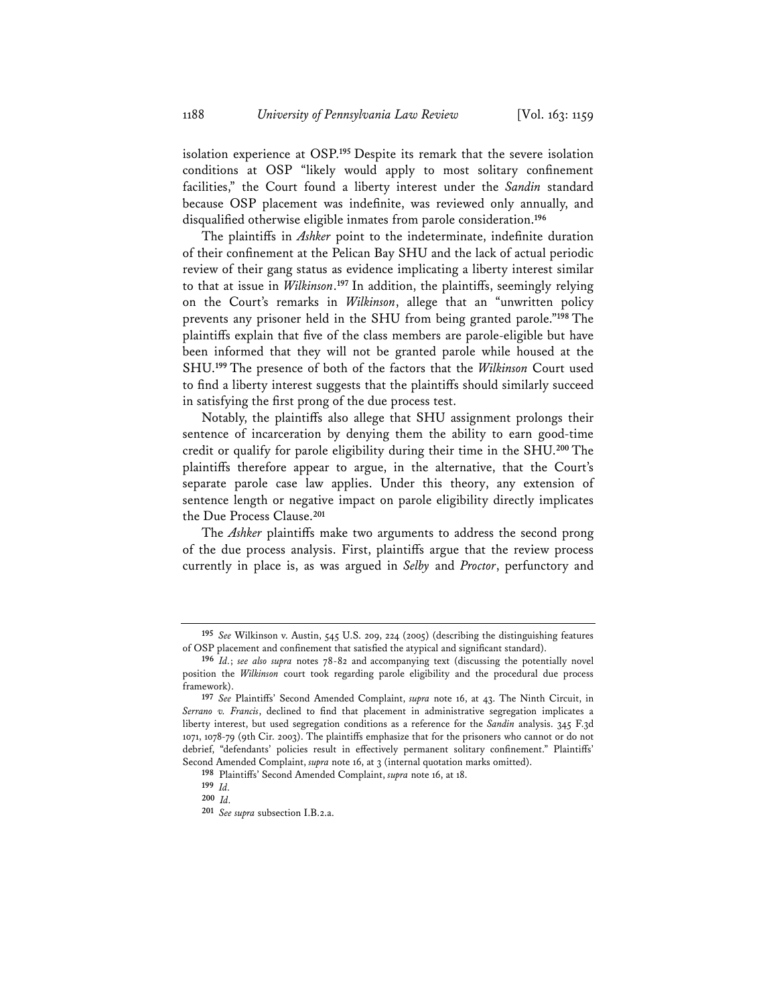1188 *University of Pennsylvania Law Review* [Vol. 163: 1159

isolation experience at OSP.**<sup>195</sup>** Despite its remark that the severe isolation conditions at OSP "likely would apply to most solitary confinement facilities," the Court found a liberty interest under the *Sandin* standard because OSP placement was indefinite, was reviewed only annually, and disqualified otherwise eligible inmates from parole consideration.**<sup>196</sup>**

The plaintiffs in *Ashker* point to the indeterminate, indefinite duration of their confinement at the Pelican Bay SHU and the lack of actual periodic review of their gang status as evidence implicating a liberty interest similar to that at issue in *Wilkinson*. **<sup>197</sup>** In addition, the plaintiffs, seemingly relying on the Court's remarks in *Wilkinson*, allege that an "unwritten policy prevents any prisoner held in the SHU from being granted parole."**<sup>198</sup>** The plaintiffs explain that five of the class members are parole-eligible but have been informed that they will not be granted parole while housed at the SHU.**<sup>199</sup>** The presence of both of the factors that the *Wilkinson* Court used to find a liberty interest suggests that the plaintiffs should similarly succeed in satisfying the first prong of the due process test.

Notably, the plaintiffs also allege that SHU assignment prolongs their sentence of incarceration by denying them the ability to earn good-time credit or qualify for parole eligibility during their time in the SHU.**<sup>200</sup>** The plaintiffs therefore appear to argue, in the alternative, that the Court's separate parole case law applies. Under this theory, any extension of sentence length or negative impact on parole eligibility directly implicates the Due Process Clause.**<sup>201</sup>**

The *Ashker* plaintiffs make two arguments to address the second prong of the due process analysis. First, plaintiffs argue that the review process currently in place is, as was argued in *Selby* and *Proctor*, perfunctory and

**<sup>195</sup>** *See* Wilkinson v. Austin, 545 U.S. 209, 224 (2005) (describing the distinguishing features of OSP placement and confinement that satisfied the atypical and significant standard).

**<sup>196</sup>** *Id.*; *see also supra* notes 78-82 and accompanying text (discussing the potentially novel position the *Wilkinson* court took regarding parole eligibility and the procedural due process framework).

**<sup>197</sup>** *See* Plaintiffs' Second Amended Complaint, *supra* note 16, at 43. The Ninth Circuit, in *Serrano v. Francis*, declined to find that placement in administrative segregation implicates a liberty interest, but used segregation conditions as a reference for the *Sandin* analysis. 345 F.3d 1071, 1078-79 (9th Cir. 2003). The plaintiffs emphasize that for the prisoners who cannot or do not debrief, "defendants' policies result in effectively permanent solitary confinement." Plaintiffs' Second Amended Complaint, *supra* note 16, at 3 (internal quotation marks omitted).

**<sup>198</sup>** Plaintiffs' Second Amended Complaint, *supra* note 16, at 18.

**<sup>199</sup>** *Id.* **<sup>200</sup>** *Id.* **<sup>201</sup>** *See supra* subsection I.B.2.a.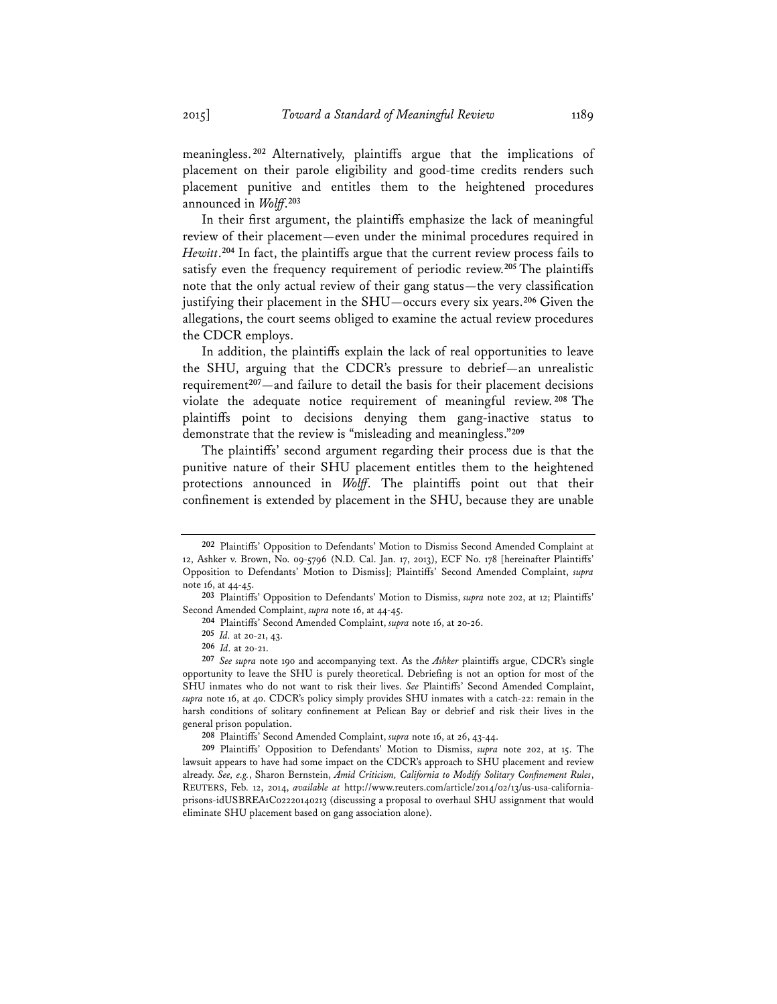meaningless. **<sup>202</sup>** Alternatively, plaintiffs argue that the implications of placement on their parole eligibility and good-time credits renders such placement punitive and entitles them to the heightened procedures announced in *Wolff*. **203**

In their first argument, the plaintiffs emphasize the lack of meaningful review of their placement—even under the minimal procedures required in *Hewitt*. **<sup>204</sup>** In fact, the plaintiffs argue that the current review process fails to satisfy even the frequency requirement of periodic review.**<sup>205</sup>** The plaintiffs note that the only actual review of their gang status—the very classification justifying their placement in the SHU—occurs every six years.**<sup>206</sup>** Given the allegations, the court seems obliged to examine the actual review procedures the CDCR employs.

In addition, the plaintiffs explain the lack of real opportunities to leave the SHU, arguing that the CDCR's pressure to debrief—an unrealistic requirement**<sup>207</sup>**—and failure to detail the basis for their placement decisions violate the adequate notice requirement of meaningful review. **<sup>208</sup>** The plaintiffs point to decisions denying them gang-inactive status to demonstrate that the review is "misleading and meaningless."**<sup>209</sup>**

The plaintiffs' second argument regarding their process due is that the punitive nature of their SHU placement entitles them to the heightened protections announced in *Wolff*. The plaintiffs point out that their confinement is extended by placement in the SHU, because they are unable

**<sup>208</sup>** Plaintiffs' Second Amended Complaint, *supra* note 16, at 26, 43-44.

**<sup>209</sup>** Plaintiffs' Opposition to Defendants' Motion to Dismiss, *supra* note 202, at 15. The lawsuit appears to have had some impact on the CDCR's approach to SHU placement and review already. *See, e.g.*, Sharon Bernstein, *Amid Criticism, California to Modify Solitary Confinement Rules*, REUTERS, Feb. 12, 2014, *available at* http://www.reuters.com/article/2014/02/13/us-usa-californiaprisons-idUSBREA1C02220140213 (discussing a proposal to overhaul SHU assignment that would eliminate SHU placement based on gang association alone).

**<sup>202</sup>** Plaintiffs' Opposition to Defendants' Motion to Dismiss Second Amended Complaint at 12, Ashker v. Brown, No. 09-5796 (N.D. Cal. Jan. 17, 2013), ECF No. 178 [hereinafter Plaintiffs' Opposition to Defendants' Motion to Dismiss]; Plaintiffs' Second Amended Complaint, *supra* note 16, at 44-45.

**<sup>203</sup>** Plaintiffs' Opposition to Defendants' Motion to Dismiss, *supra* note 202, at 12; Plaintiffs' Second Amended Complaint, *supra* note 16, at 44-45.

**<sup>204</sup>** Plaintiffs' Second Amended Complaint, *supra* note 16, at 20-26.

**<sup>205</sup>** *Id.* at 20-21, 43.

**<sup>206</sup>** *Id.* at 20-21. **<sup>207</sup>** *See supra* note 190 and accompanying text. As the *Ashker* plaintiffs argue, CDCR's single opportunity to leave the SHU is purely theoretical. Debriefing is not an option for most of the SHU inmates who do not want to risk their lives. *See* Plaintiffs' Second Amended Complaint, supra note 16, at 40. CDCR's policy simply provides SHU inmates with a catch-22: remain in the harsh conditions of solitary confinement at Pelican Bay or debrief and risk their lives in the general prison population.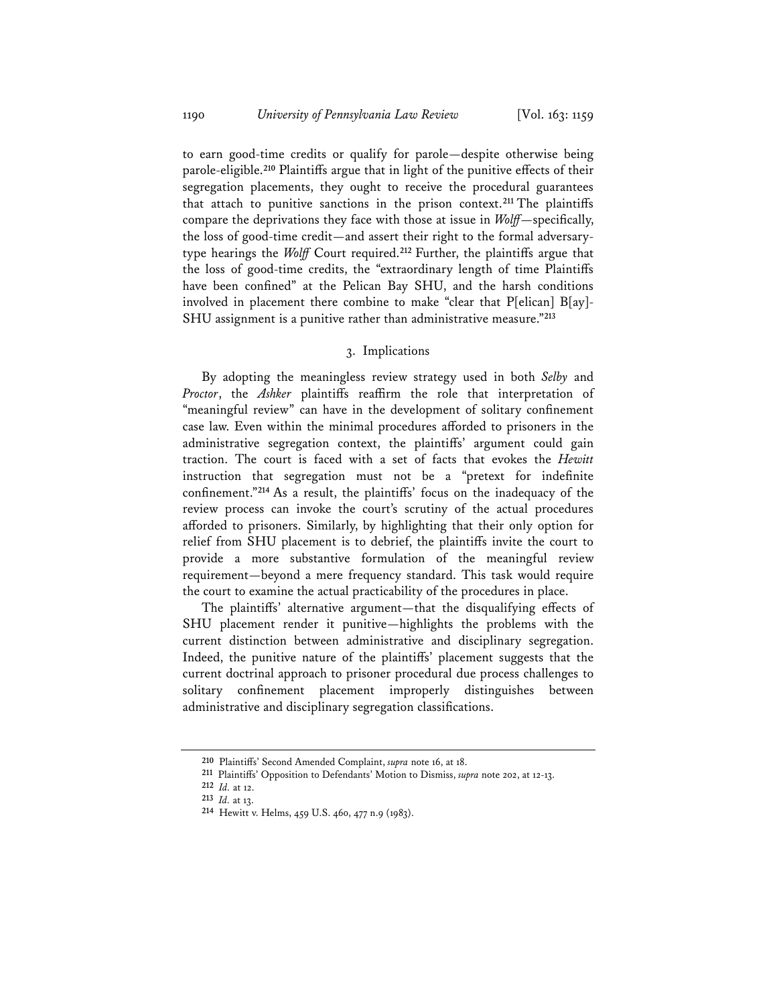to earn good-time credits or qualify for parole—despite otherwise being parole-eligible.**<sup>210</sup>** Plaintiffs argue that in light of the punitive effects of their segregation placements, they ought to receive the procedural guarantees that attach to punitive sanctions in the prison context.**<sup>211</sup>** The plaintiffs compare the deprivations they face with those at issue in *Wolff*—specifically, the loss of good-time credit—and assert their right to the formal adversarytype hearings the *Wolff* Court required.**<sup>212</sup>** Further, the plaintiffs argue that the loss of good-time credits, the "extraordinary length of time Plaintiffs have been confined" at the Pelican Bay SHU, and the harsh conditions involved in placement there combine to make "clear that P[elican] B[ay]- SHU assignment is a punitive rather than administrative measure."**<sup>213</sup>**

## 3. Implications

By adopting the meaningless review strategy used in both *Selby* and *Proctor*, the *Ashker* plaintiffs reaffirm the role that interpretation of "meaningful review" can have in the development of solitary confinement case law. Even within the minimal procedures afforded to prisoners in the administrative segregation context, the plaintiffs' argument could gain traction. The court is faced with a set of facts that evokes the *Hewitt* instruction that segregation must not be a "pretext for indefinite confinement."**<sup>214</sup>** As a result, the plaintiffs' focus on the inadequacy of the review process can invoke the court's scrutiny of the actual procedures afforded to prisoners. Similarly, by highlighting that their only option for relief from SHU placement is to debrief, the plaintiffs invite the court to provide a more substantive formulation of the meaningful review requirement—beyond a mere frequency standard. This task would require the court to examine the actual practicability of the procedures in place.

The plaintiffs' alternative argument—that the disqualifying effects of SHU placement render it punitive—highlights the problems with the current distinction between administrative and disciplinary segregation. Indeed, the punitive nature of the plaintiffs' placement suggests that the current doctrinal approach to prisoner procedural due process challenges to solitary confinement placement improperly distinguishes between administrative and disciplinary segregation classifications.

**<sup>210</sup>** Plaintiffs' Second Amended Complaint, *supra* note 16, at 18.

**<sup>211</sup>** Plaintiffs' Opposition to Defendants' Motion to Dismiss, *supra* note 202, at 12-13.

**<sup>212</sup>** *Id.* at 12. **<sup>213</sup>** *Id.* at 13.

**<sup>214</sup>** Hewitt v. Helms, 459 U.S. 460, 477 n.9 (1983).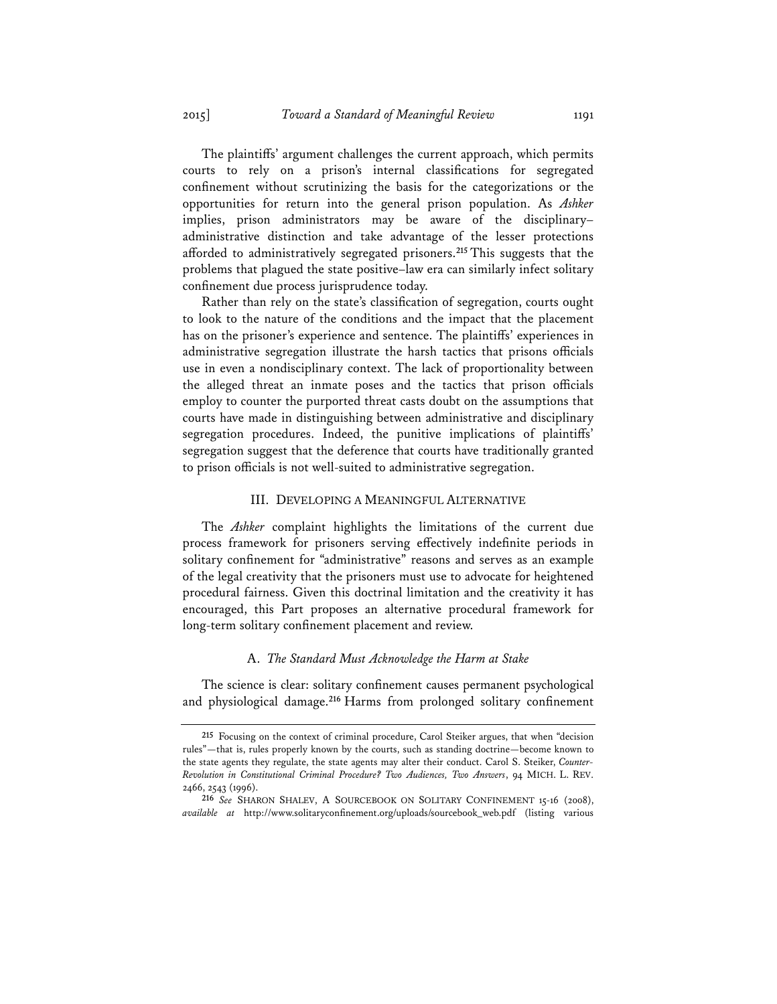The plaintiffs' argument challenges the current approach, which permits courts to rely on a prison's internal classifications for segregated confinement without scrutinizing the basis for the categorizations or the opportunities for return into the general prison population. As *Ashker* implies, prison administrators may be aware of the disciplinary– administrative distinction and take advantage of the lesser protections afforded to administratively segregated prisoners.**<sup>215</sup>** This suggests that the problems that plagued the state positive–law era can similarly infect solitary confinement due process jurisprudence today.

Rather than rely on the state's classification of segregation, courts ought to look to the nature of the conditions and the impact that the placement has on the prisoner's experience and sentence. The plaintiffs' experiences in administrative segregation illustrate the harsh tactics that prisons officials use in even a nondisciplinary context. The lack of proportionality between the alleged threat an inmate poses and the tactics that prison officials employ to counter the purported threat casts doubt on the assumptions that courts have made in distinguishing between administrative and disciplinary segregation procedures. Indeed, the punitive implications of plaintiffs' segregation suggest that the deference that courts have traditionally granted to prison officials is not well-suited to administrative segregation.

#### III. DEVELOPING A MEANINGFUL ALTERNATIVE

The *Ashker* complaint highlights the limitations of the current due process framework for prisoners serving effectively indefinite periods in solitary confinement for "administrative" reasons and serves as an example of the legal creativity that the prisoners must use to advocate for heightened procedural fairness. Given this doctrinal limitation and the creativity it has encouraged, this Part proposes an alternative procedural framework for long-term solitary confinement placement and review.

#### A. *The Standard Must Acknowledge the Harm at Stake*

The science is clear: solitary confinement causes permanent psychological and physiological damage.**<sup>216</sup>** Harms from prolonged solitary confinement

**<sup>215</sup>** Focusing on the context of criminal procedure, Carol Steiker argues, that when "decision rules"—that is, rules properly known by the courts, such as standing doctrine—become known to the state agents they regulate, the state agents may alter their conduct. Carol S. Steiker, *Counter-Revolution in Constitutional Criminal Procedure? Two Audiences, Two Answers*, 94 MICH. L. REV. 2466, 2543 (1996).

**<sup>216</sup>** *See* SHARON SHALEV, A SOURCEBOOK ON SOLITARY CONFINEMENT 15-16 (2008), *available at* http://www.solitaryconfinement.org/uploads/sourcebook\_web.pdf (listing various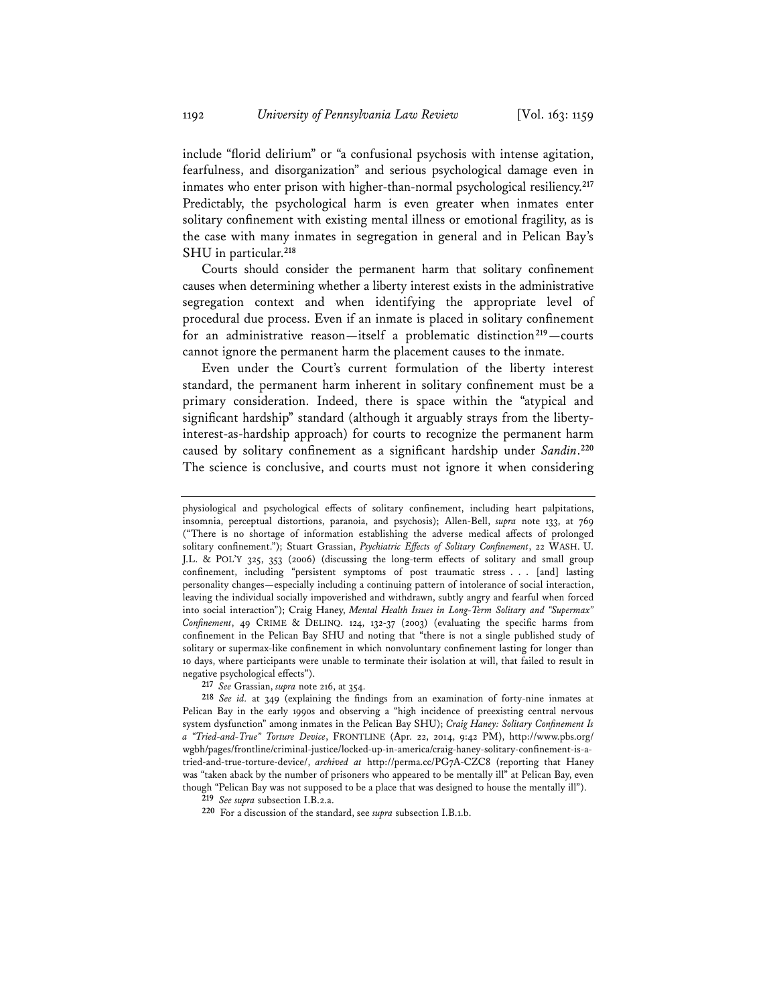include "florid delirium" or "a confusional psychosis with intense agitation, fearfulness, and disorganization" and serious psychological damage even in inmates who enter prison with higher-than-normal psychological resiliency.**<sup>217</sup>** Predictably, the psychological harm is even greater when inmates enter solitary confinement with existing mental illness or emotional fragility, as is the case with many inmates in segregation in general and in Pelican Bay's SHU in particular.**<sup>218</sup>**

Courts should consider the permanent harm that solitary confinement causes when determining whether a liberty interest exists in the administrative segregation context and when identifying the appropriate level of procedural due process. Even if an inmate is placed in solitary confinement for an administrative reason—itself a problematic distinction**<sup>219</sup>**—courts cannot ignore the permanent harm the placement causes to the inmate.

Even under the Court's current formulation of the liberty interest standard, the permanent harm inherent in solitary confinement must be a primary consideration. Indeed, there is space within the "atypical and significant hardship" standard (although it arguably strays from the libertyinterest-as-hardship approach) for courts to recognize the permanent harm caused by solitary confinement as a significant hardship under *Sandin*. **220** The science is conclusive, and courts must not ignore it when considering

physiological and psychological effects of solitary confinement, including heart palpitations, insomnia, perceptual distortions, paranoia, and psychosis); Allen-Bell, *supra* note 133, at 769 ("There is no shortage of information establishing the adverse medical affects of prolonged solitary confinement."); Stuart Grassian, *Psychiatric Effects of Solitary Confinement*, 22 WASH. U. J.L. & POL'Y 325, 353 (2006) (discussing the long-term effects of solitary and small group confinement, including "persistent symptoms of post traumatic stress . . . [and] lasting personality changes—especially including a continuing pattern of intolerance of social interaction, leaving the individual socially impoverished and withdrawn, subtly angry and fearful when forced into social interaction"); Craig Haney, *Mental Health Issues in Long-Term Solitary and "Supermax" Confinement*, 49 CRIME & DELINQ. 124, 132-37 (2003) (evaluating the specific harms from confinement in the Pelican Bay SHU and noting that "there is not a single published study of solitary or supermax-like confinement in which nonvoluntary confinement lasting for longer than 10 days, where participants were unable to terminate their isolation at will, that failed to result in negative psychological effects").

**<sup>217</sup>** *See* Grassian, *supra* note 216, at 354.

**<sup>218</sup>** *See id.* at 349 (explaining the findings from an examination of forty-nine inmates at Pelican Bay in the early 1990s and observing a "high incidence of preexisting central nervous system dysfunction" among inmates in the Pelican Bay SHU); *Craig Haney: Solitary Confinement Is a "Tried-and-True" Torture Device*, FRONTLINE (Apr. 22, 2014, 9:42 PM), http://www.pbs.org/ wgbh/pages/frontline/criminal-justice/locked-up-in-america/craig-haney-solitary-confinement-is-atried-and-true-torture-device/, *archived at* http://perma.cc/PG7A-CZC8 (reporting that Haney was "taken aback by the number of prisoners who appeared to be mentally ill" at Pelican Bay, even though "Pelican Bay was not supposed to be a place that was designed to house the mentally ill").

**<sup>219</sup>** *See supra* subsection I.B.2.a.

**<sup>220</sup>** For a discussion of the standard, see *supra* subsection I.B.1.b.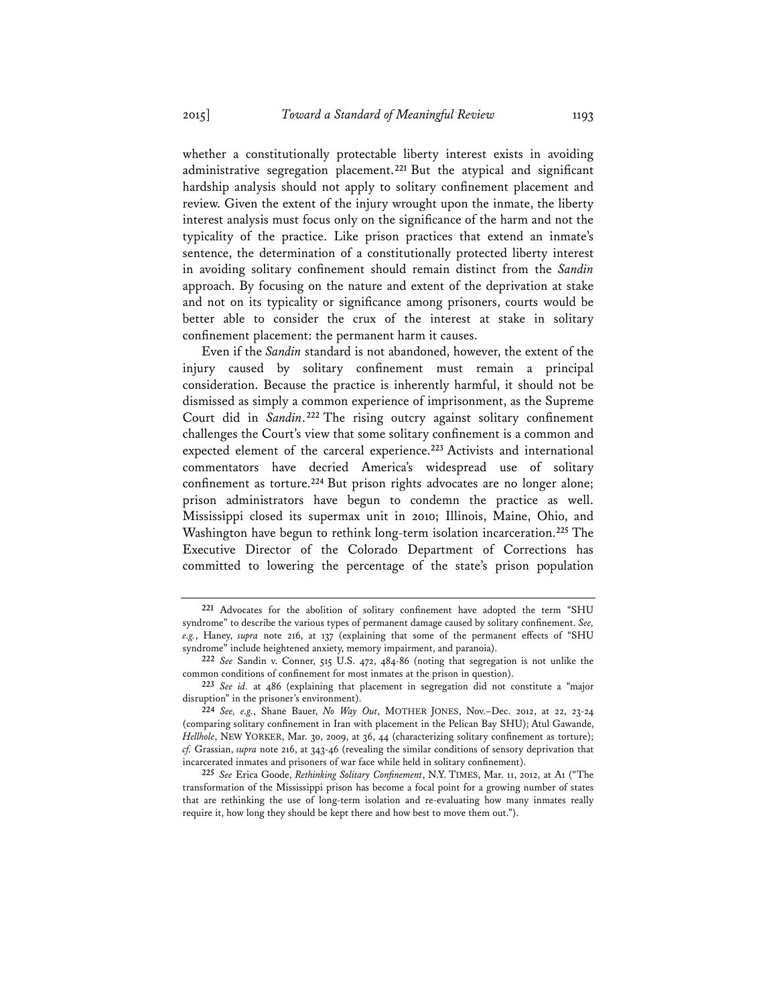whether a constitutionally protectable liberty interest exists in avoiding administrative segregation placement.**<sup>221</sup>** But the atypical and significant hardship analysis should not apply to solitary confinement placement and review. Given the extent of the injury wrought upon the inmate, the liberty interest analysis must focus only on the significance of the harm and not the typicality of the practice. Like prison practices that extend an inmate's sentence, the determination of a constitutionally protected liberty interest in avoiding solitary confinement should remain distinct from the *Sandin* approach. By focusing on the nature and extent of the deprivation at stake and not on its typicality or significance among prisoners, courts would be better able to consider the crux of the interest at stake in solitary confinement placement: the permanent harm it causes.

Even if the *Sandin* standard is not abandoned, however, the extent of the injury caused by solitary confinement must remain a principal consideration. Because the practice is inherently harmful, it should not be dismissed as simply a common experience of imprisonment, as the Supreme Court did in *Sandin*.**<sup>222</sup>** The rising outcry against solitary confinement challenges the Court's view that some solitary confinement is a common and expected element of the carceral experience.**<sup>223</sup>** Activists and international commentators have decried America's widespread use of solitary confinement as torture.**<sup>224</sup>** But prison rights advocates are no longer alone; prison administrators have begun to condemn the practice as well. Mississippi closed its supermax unit in 2010; Illinois, Maine, Ohio, and Washington have begun to rethink long-term isolation incarceration.**<sup>225</sup>** The Executive Director of the Colorado Department of Corrections has committed to lowering the percentage of the state's prison population

**<sup>221</sup>** Advocates for the abolition of solitary confinement have adopted the term "SHU syndrome" to describe the various types of permanent damage caused by solitary confinement. *See, e.g.*, Haney, *supra* note 216, at 137 (explaining that some of the permanent effects of "SHU syndrome" include heightened anxiety, memory impairment, and paranoia).

**<sup>222</sup>** *See* Sandin v. Conner, 515 U.S. 472, 484-86 (noting that segregation is not unlike the common conditions of confinement for most inmates at the prison in question).

**<sup>223</sup>** *See id.* at 486 (explaining that placement in segregation did not constitute a "major disruption" in the prisoner's environment).

**<sup>224</sup>** *See, e.g.*, Shane Bauer, *No Way Out*, MOTHER JONES, Nov.–Dec. 2012, at 22, 23-24 (comparing solitary confinement in Iran with placement in the Pelican Bay SHU); Atul Gawande, *Hellhole*, NEW YORKER, Mar. 30, 2009, at 36, 44 (characterizing solitary confinement as torture); *cf.* Grassian, *supra* note 216, at 343-46 (revealing the similar conditions of sensory deprivation that incarcerated inmates and prisoners of war face while held in solitary confinement).

**<sup>225</sup>** *See* Erica Goode, *Rethinking Solitary Confinement*, N.Y. TIMES, Mar. 11, 2012, at A1 ("The transformation of the Mississippi prison has become a focal point for a growing number of states that are rethinking the use of long-term isolation and re-evaluating how many inmates really require it, how long they should be kept there and how best to move them out.").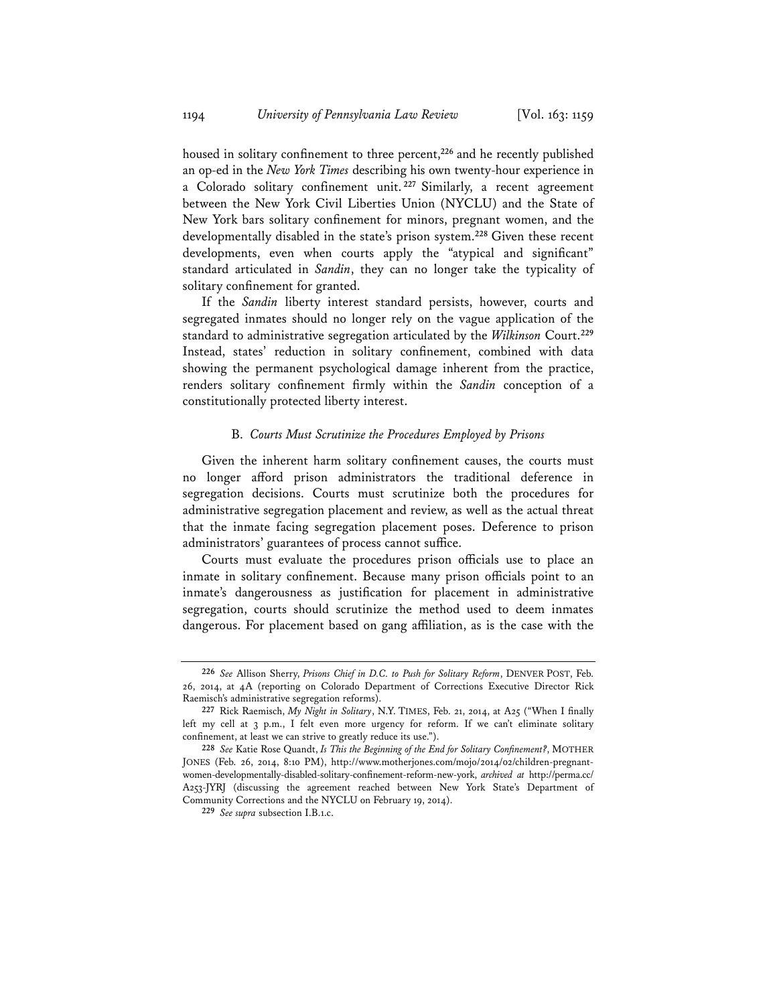housed in solitary confinement to three percent,**<sup>226</sup>** and he recently published an op-ed in the *New York Times* describing his own twenty-hour experience in a Colorado solitary confinement unit. **<sup>227</sup>** Similarly, a recent agreement between the New York Civil Liberties Union (NYCLU) and the State of New York bars solitary confinement for minors, pregnant women, and the developmentally disabled in the state's prison system.**<sup>228</sup>** Given these recent developments, even when courts apply the "atypical and significant" standard articulated in *Sandin*, they can no longer take the typicality of solitary confinement for granted.

If the *Sandin* liberty interest standard persists, however, courts and segregated inmates should no longer rely on the vague application of the standard to administrative segregation articulated by the *Wilkinson* Court.**<sup>229</sup>** Instead, states' reduction in solitary confinement, combined with data showing the permanent psychological damage inherent from the practice, renders solitary confinement firmly within the *Sandin* conception of a constitutionally protected liberty interest.

## B. *Courts Must Scrutinize the Procedures Employed by Prisons*

Given the inherent harm solitary confinement causes, the courts must no longer afford prison administrators the traditional deference in segregation decisions. Courts must scrutinize both the procedures for administrative segregation placement and review, as well as the actual threat that the inmate facing segregation placement poses. Deference to prison administrators' guarantees of process cannot suffice.

Courts must evaluate the procedures prison officials use to place an inmate in solitary confinement. Because many prison officials point to an inmate's dangerousness as justification for placement in administrative segregation, courts should scrutinize the method used to deem inmates dangerous. For placement based on gang affiliation, as is the case with the

**<sup>226</sup>** *See* Allison Sherry, *Prisons Chief in D.C. to Push for Solitary Reform*, DENVER POST, Feb. 26, 2014, at 4A (reporting on Colorado Department of Corrections Executive Director Rick Raemisch's administrative segregation reforms).

**<sup>227</sup>** Rick Raemisch, *My Night in Solitary*, N.Y. TIMES, Feb. 21, 2014, at A25 ("When I finally left my cell at 3 p.m., I felt even more urgency for reform. If we can't eliminate solitary confinement, at least we can strive to greatly reduce its use.").

**<sup>228</sup>** *See* Katie Rose Quandt, *Is This the Beginning of the End for Solitary Confinement?*, MOTHER JONES (Feb. 26, 2014, 8:10 PM), http://www.motherjones.com/mojo/2014/02/children-pregnantwomen-developmentally-disabled-solitary-confinement-reform-new-york, *archived at* http://perma.cc/ A253-JYRJ (discussing the agreement reached between New York State's Department of Community Corrections and the NYCLU on February 19, 2014).

**<sup>229</sup>** *See supra* subsection I.B.1.c.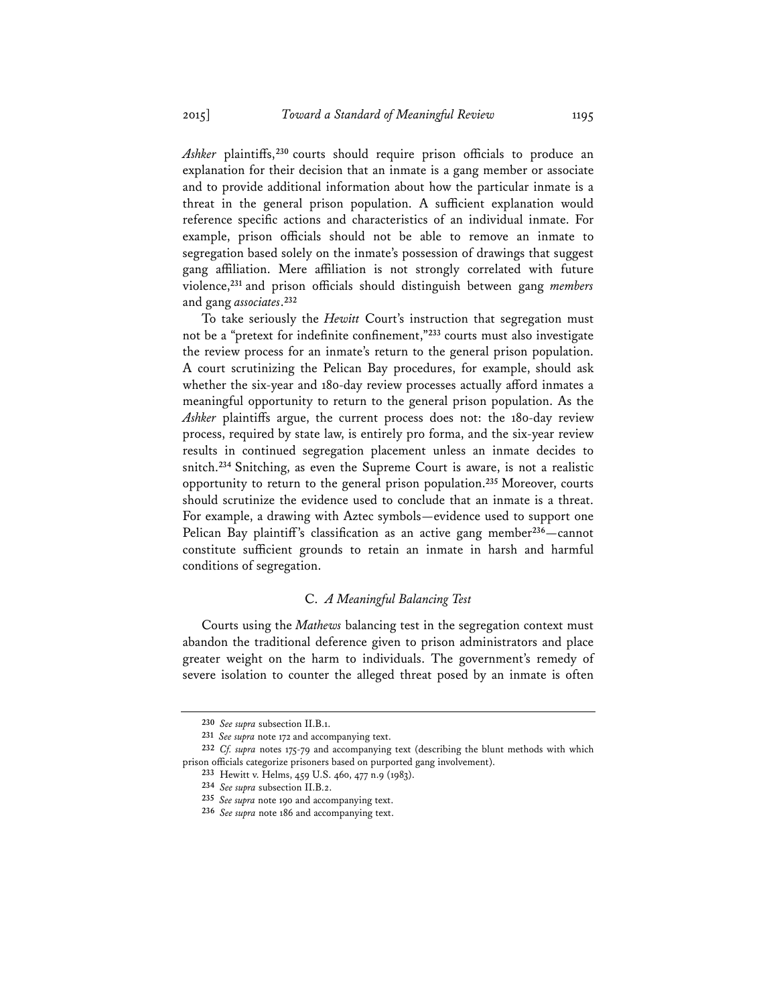*Ashker* plaintiffs,**<sup>230</sup>** courts should require prison officials to produce an explanation for their decision that an inmate is a gang member or associate and to provide additional information about how the particular inmate is a threat in the general prison population. A sufficient explanation would reference specific actions and characteristics of an individual inmate. For example, prison officials should not be able to remove an inmate to segregation based solely on the inmate's possession of drawings that suggest gang affiliation. Mere affiliation is not strongly correlated with future violence,**<sup>231</sup>** and prison officials should distinguish between gang *members* and gang *associates*. **232**

To take seriously the *Hewitt* Court's instruction that segregation must not be a "pretext for indefinite confinement,"**<sup>233</sup>** courts must also investigate the review process for an inmate's return to the general prison population. A court scrutinizing the Pelican Bay procedures, for example, should ask whether the six-year and 180-day review processes actually afford inmates a meaningful opportunity to return to the general prison population. As the *Ashker* plaintiffs argue, the current process does not: the 180-day review process, required by state law, is entirely pro forma, and the six-year review results in continued segregation placement unless an inmate decides to snitch.**<sup>234</sup>** Snitching, as even the Supreme Court is aware, is not a realistic opportunity to return to the general prison population.**<sup>235</sup>** Moreover, courts should scrutinize the evidence used to conclude that an inmate is a threat. For example, a drawing with Aztec symbols—evidence used to support one Pelican Bay plaintiff's classification as an active gang member**<sup>236</sup>**—cannot constitute sufficient grounds to retain an inmate in harsh and harmful conditions of segregation.

## C. *A Meaningful Balancing Test*

Courts using the *Mathews* balancing test in the segregation context must abandon the traditional deference given to prison administrators and place greater weight on the harm to individuals. The government's remedy of severe isolation to counter the alleged threat posed by an inmate is often

**<sup>230</sup>** *See supra* subsection II.B.1.

**<sup>231</sup>** *See supra* note 172 and accompanying text.

**<sup>232</sup>** *Cf. supra* notes 175-79 and accompanying text (describing the blunt methods with which prison officials categorize prisoners based on purported gang involvement).

**<sup>233</sup>** Hewitt v. Helms, 459 U.S. 460, 477 n.9 (1983).

**<sup>234</sup>** *See supra* subsection II.B.2.

**<sup>235</sup>** *See supra* note 190 and accompanying text.

**<sup>236</sup>** *See supra* note 186 and accompanying text.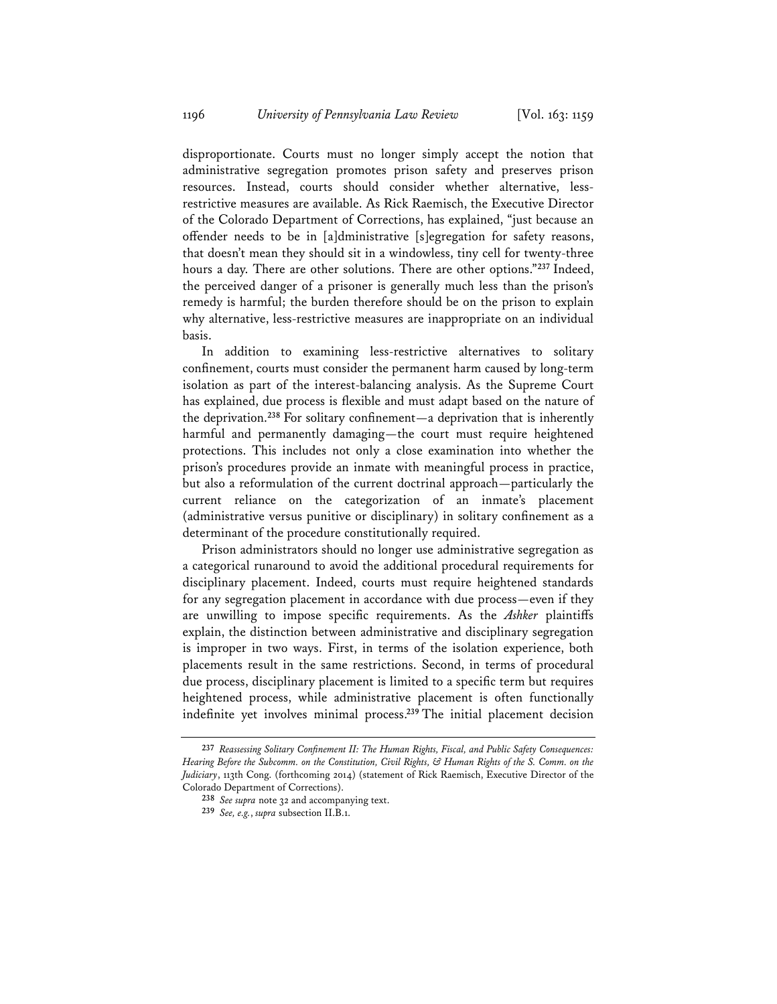disproportionate. Courts must no longer simply accept the notion that administrative segregation promotes prison safety and preserves prison resources. Instead, courts should consider whether alternative, lessrestrictive measures are available. As Rick Raemisch, the Executive Director of the Colorado Department of Corrections, has explained, "just because an offender needs to be in [a]dministrative [s]egregation for safety reasons, that doesn't mean they should sit in a windowless, tiny cell for twenty-three hours a day. There are other solutions. There are other options."**<sup>237</sup>** Indeed, the perceived danger of a prisoner is generally much less than the prison's remedy is harmful; the burden therefore should be on the prison to explain why alternative, less-restrictive measures are inappropriate on an individual basis.

In addition to examining less-restrictive alternatives to solitary confinement, courts must consider the permanent harm caused by long-term isolation as part of the interest-balancing analysis. As the Supreme Court has explained, due process is flexible and must adapt based on the nature of the deprivation.**<sup>238</sup>** For solitary confinement—a deprivation that is inherently harmful and permanently damaging—the court must require heightened protections. This includes not only a close examination into whether the prison's procedures provide an inmate with meaningful process in practice, but also a reformulation of the current doctrinal approach—particularly the current reliance on the categorization of an inmate's placement (administrative versus punitive or disciplinary) in solitary confinement as a determinant of the procedure constitutionally required.

Prison administrators should no longer use administrative segregation as a categorical runaround to avoid the additional procedural requirements for disciplinary placement. Indeed, courts must require heightened standards for any segregation placement in accordance with due process—even if they are unwilling to impose specific requirements. As the *Ashker* plaintiffs explain, the distinction between administrative and disciplinary segregation is improper in two ways. First, in terms of the isolation experience, both placements result in the same restrictions. Second, in terms of procedural due process, disciplinary placement is limited to a specific term but requires heightened process, while administrative placement is often functionally indefinite yet involves minimal process.**<sup>239</sup>** The initial placement decision

**<sup>237</sup>** *Reassessing Solitary Confinement II: The Human Rights, Fiscal, and Public Safety Consequences: Hearing Before the Subcomm. on the Constitution, Civil Rights, & Human Rights of the S. Comm. on the Judiciary*, 113th Cong. (forthcoming 2014) (statement of Rick Raemisch, Executive Director of the Colorado Department of Corrections).

**<sup>238</sup>** *See supra* note 32 and accompanying text.

**<sup>239</sup>** *See, e.g.*, *supra* subsection II.B.1.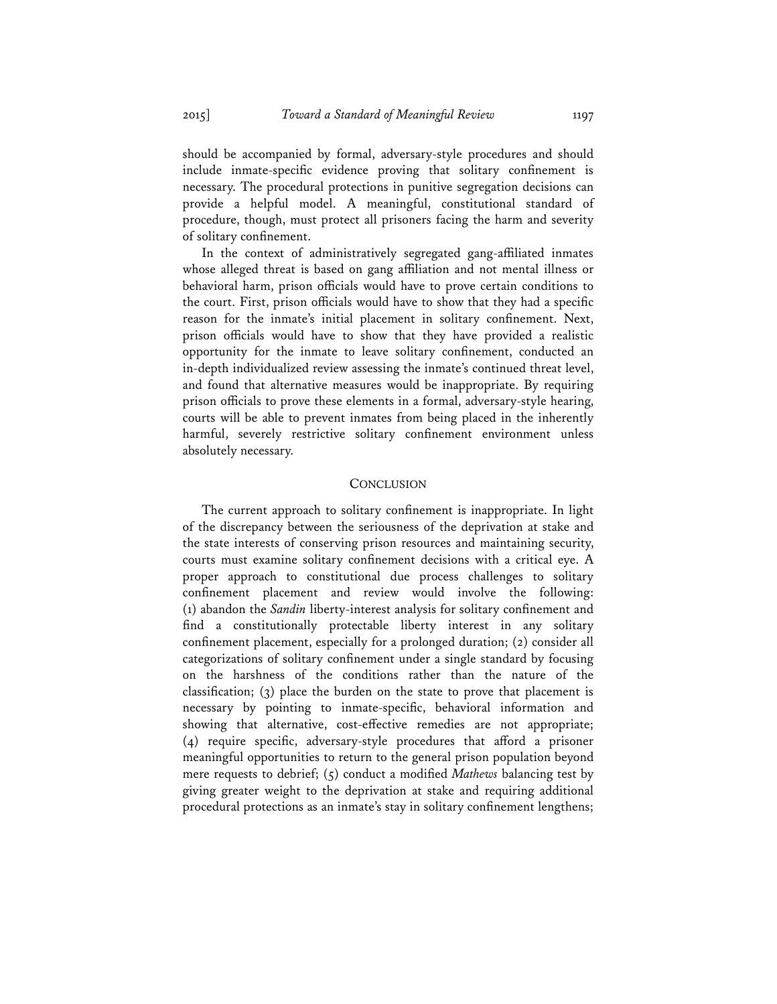should be accompanied by formal, adversary-style procedures and should include inmate-specific evidence proving that solitary confinement is necessary. The procedural protections in punitive segregation decisions can provide a helpful model. A meaningful, constitutional standard of procedure, though, must protect all prisoners facing the harm and severity of solitary confinement.

In the context of administratively segregated gang-affiliated inmates whose alleged threat is based on gang affiliation and not mental illness or behavioral harm, prison officials would have to prove certain conditions to the court. First, prison officials would have to show that they had a specific reason for the inmate's initial placement in solitary confinement. Next, prison officials would have to show that they have provided a realistic opportunity for the inmate to leave solitary confinement, conducted an in-depth individualized review assessing the inmate's continued threat level, and found that alternative measures would be inappropriate. By requiring prison officials to prove these elements in a formal, adversary-style hearing, courts will be able to prevent inmates from being placed in the inherently harmful, severely restrictive solitary confinement environment unless absolutely necessary.

## **CONCLUSION**

The current approach to solitary confinement is inappropriate. In light of the discrepancy between the seriousness of the deprivation at stake and the state interests of conserving prison resources and maintaining security, courts must examine solitary confinement decisions with a critical eye. A proper approach to constitutional due process challenges to solitary confinement placement and review would involve the following: (1) abandon the *Sandin* liberty-interest analysis for solitary confinement and find a constitutionally protectable liberty interest in any solitary confinement placement, especially for a prolonged duration; (2) consider all categorizations of solitary confinement under a single standard by focusing on the harshness of the conditions rather than the nature of the classification; (3) place the burden on the state to prove that placement is necessary by pointing to inmate-specific, behavioral information and showing that alternative, cost-effective remedies are not appropriate; (4) require specific, adversary-style procedures that afford a prisoner meaningful opportunities to return to the general prison population beyond mere requests to debrief; (5) conduct a modified *Mathews* balancing test by giving greater weight to the deprivation at stake and requiring additional procedural protections as an inmate's stay in solitary confinement lengthens;